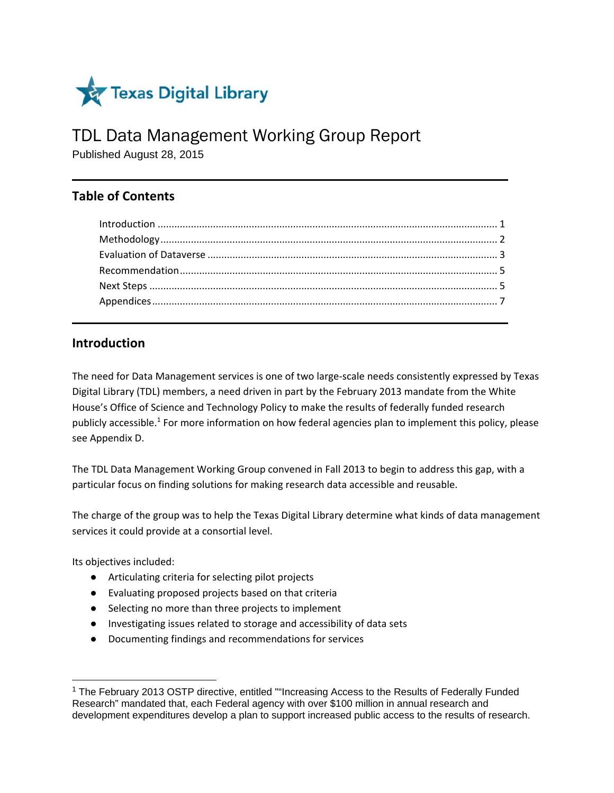

# TDL Data Management Working Group Report

Published August 28, 2015

# **Table of Contents**

# **Introduction**

The need for Data Management services is one of two large‐scale needs consistently expressed by Texas Digital Library (TDL) members, a need driven in part by the February 2013 mandate from the White House's Office of Science and Technology Policy to make the results of federally funded research publicly accessible.<sup>1</sup> For more information on how federal agencies plan to implement this policy, please see Appendix D.

The TDL Data Management Working Group convened in Fall 2013 to begin to address this gap, with a particular focus on finding solutions for making research data accessible and reusable.

The charge of the group was to help the Texas Digital Library determine what kinds of data management services it could provide at a consortial level.

Its objectives included:

- Articulating criteria for selecting pilot projects
- Evaluating proposed projects based on that criteria
- Selecting no more than three projects to implement
- Investigating issues related to storage and accessibility of data sets
- Documenting findings and recommendations for services

<sup>1</sup> The February 2013 OSTP directive, entitled ""Increasing Access to the Results of Federally Funded Research" mandated that, each Federal agency with over \$100 million in annual research and development expenditures develop a plan to support increased public access to the results of research.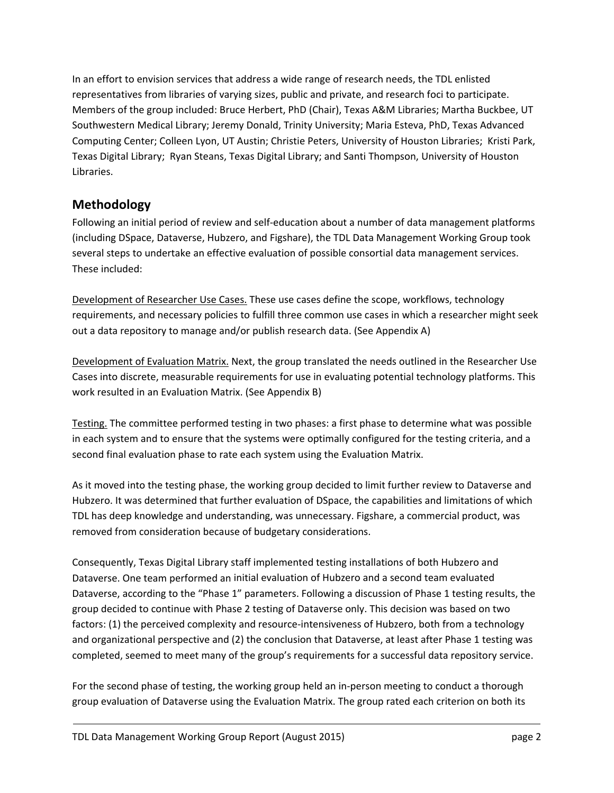In an effort to envision services that address a wide range of research needs, the TDL enlisted representatives from libraries of varying sizes, public and private, and research foci to participate. Members of the group included: Bruce Herbert, PhD (Chair), Texas A&M Libraries; Martha Buckbee, UT Southwestern Medical Library; Jeremy Donald, Trinity University; Maria Esteva, PhD, Texas Advanced Computing Center; Colleen Lyon, UT Austin; Christie Peters, University of Houston Libraries; Kristi Park, Texas Digital Library; Ryan Steans, Texas Digital Library; and Santi Thompson, University of Houston Libraries.

# **Methodology**

Following an initial period of review and self‐education about a number of data management platforms (including DSpace, Dataverse, Hubzero, and Figshare), the TDL Data Management Working Group took several steps to undertake an effective evaluation of possible consortial data management services. These included:

Development of Researcher Use Cases. These use cases define the scope, workflows, technology requirements, and necessary policies to fulfill three common use cases in which a researcher might seek out a data repository to manage and/or publish research data. (See Appendix A)

Development of Evaluation Matrix. Next, the group translated the needs outlined in the Researcher Use Cases into discrete, measurable requirements for use in evaluating potential technology platforms. This work resulted in an Evaluation Matrix. (See Appendix B)

Testing. The committee performed testing in two phases: a first phase to determine what was possible in each system and to ensure that the systems were optimally configured for the testing criteria, and a second final evaluation phase to rate each system using the Evaluation Matrix.

As it moved into the testing phase, the working group decided to limit further review to Dataverse and Hubzero. It was determined that further evaluation of DSpace, the capabilities and limitations of which TDL has deep knowledge and understanding, was unnecessary. Figshare, a commercial product, was removed from consideration because of budgetary considerations.

Consequently, Texas Digital Library staff implemented testing installations of both Hubzero and Dataverse. One team performed an initial evaluation of Hubzero and a second team evaluated Dataverse, according to the "Phase 1" parameters. Following a discussion of Phase 1 testing results, the group decided to continue with Phase 2 testing of Dataverse only. This decision was based on two factors: (1) the perceived complexity and resource-intensiveness of Hubzero, both from a technology and organizational perspective and (2) the conclusion that Dataverse, at least after Phase 1 testing was completed, seemed to meet many of the group's requirements for a successful data repository service.

For the second phase of testing, the working group held an in‐person meeting to conduct a thorough group evaluation of Dataverse using the Evaluation Matrix. The group rated each criterion on both its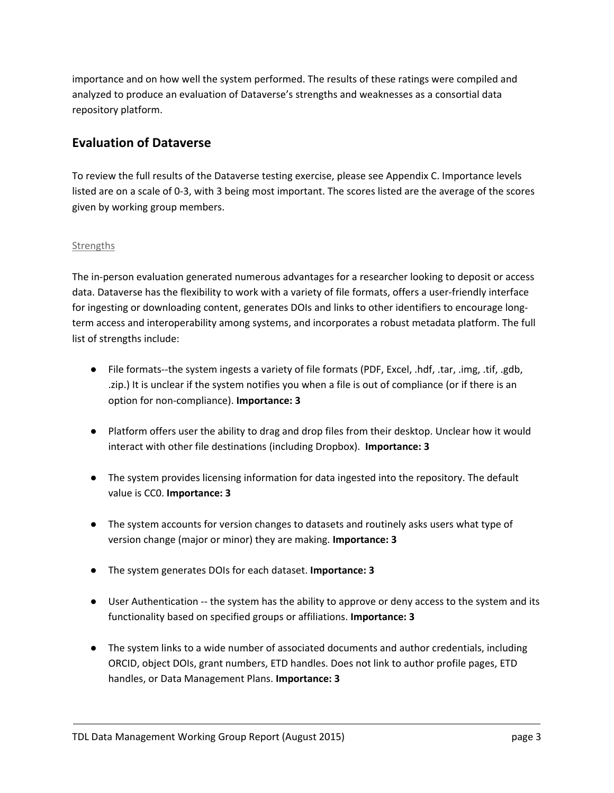importance and on how well the system performed. The results of these ratings were compiled and analyzed to produce an evaluation of Dataverse's strengths and weaknesses as a consortial data repository platform.

# **Evaluation of Dataverse**

To review the full results of the Dataverse testing exercise, please see Appendix C. Importance levels listed are on a scale of 0‐3, with 3 being most important. The scores listed are the average of the scores given by working group members.

# **Strengths**

The in‐person evaluation generated numerous advantages for a researcher looking to deposit or access data. Dataverse has the flexibility to work with a variety of file formats, offers a user‐friendly interface for ingesting or downloading content, generates DOIs and links to other identifiers to encourage long‐ term access and interoperability among systems, and incorporates a robust metadata platform. The full list of strengths include:

- File formats--the system ingests a variety of file formats (PDF, Excel, .hdf, .tar, .img, .tif, .gdb, .zip.) It is unclear if the system notifies you when a file is out of compliance (or if there is an option for non‐compliance). **Importance: 3**
- Platform offers user the ability to drag and drop files from their desktop. Unclear how it would interact with other file destinations (including Dropbox). **Importance: 3**
- The system provides licensing information for data ingested into the repository. The default value is CC0. **Importance: 3**
- The system accounts for version changes to datasets and routinely asks users what type of version change (major or minor) they are making. **Importance: 3**
- The system generates DOIs for each dataset. **Importance: 3**
- User Authentication -- the system has the ability to approve or deny access to the system and its functionality based on specified groups or affiliations. **Importance: 3**
- The system links to a wide number of associated documents and author credentials, including ORCID, object DOIs, grant numbers, ETD handles. Does not link to author profile pages, ETD handles, or Data Management Plans. **Importance: 3**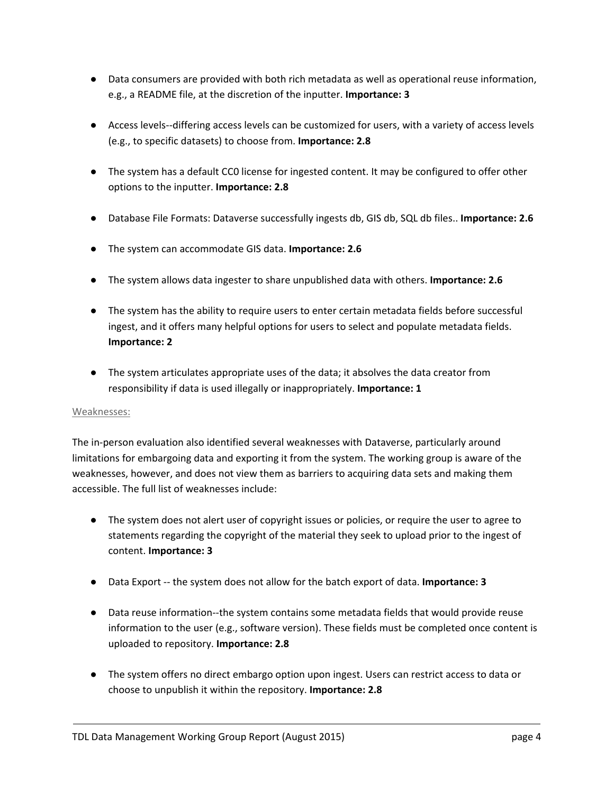- Data consumers are provided with both rich metadata as well as operational reuse information, e.g., a README file, at the discretion of the inputter. **Importance: 3**
- Access levels--differing access levels can be customized for users, with a variety of access levels (e.g., to specific datasets) to choose from. **Importance: 2.8**
- The system has a default CC0 license for ingested content. It may be configured to offer other options to the inputter. **Importance: 2.8**
- Database File Formats: Dataverse successfully ingests db, GIS db, SQL db files.. **Importance: 2.6**
- The system can accommodate GIS data. **Importance: 2.6**
- The system allows data ingester to share unpublished data with others. **Importance: 2.6**
- The system has the ability to require users to enter certain metadata fields before successful ingest, and it offers many helpful options for users to select and populate metadata fields. **Importance: 2**
- The system articulates appropriate uses of the data; it absolves the data creator from responsibility if data is used illegally or inappropriately. **Importance: 1**

#### Weaknesses:

The in‐person evaluation also identified several weaknesses with Dataverse, particularly around limitations for embargoing data and exporting it from the system. The working group is aware of the weaknesses, however, and does not view them as barriers to acquiring data sets and making them accessible. The full list of weaknesses include:

- The system does not alert user of copyright issues or policies, or require the user to agree to statements regarding the copyright of the material they seek to upload prior to the ingest of content. **Importance: 3**
- Data Export ‐‐ the system does not allow for the batch export of data. **Importance: 3**
- Data reuse information--the system contains some metadata fields that would provide reuse information to the user (e.g., software version). These fields must be completed once content is uploaded to repository. **Importance: 2.8**
- The system offers no direct embargo option upon ingest. Users can restrict access to data or choose to unpublish it within the repository. **Importance: 2.8**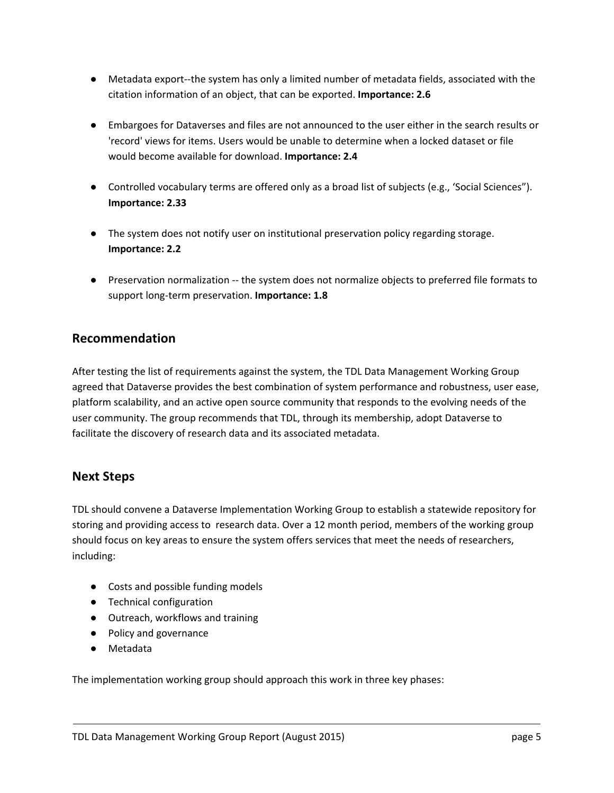- Metadata export--the system has only a limited number of metadata fields, associated with the citation information of an object, that can be exported. **Importance: 2.6**
- Embargoes for Dataverses and files are not announced to the user either in the search results or 'record' views for items. Users would be unable to determine when a locked dataset or file would become available for download. **Importance: 2.4**
- Controlled vocabulary terms are offered only as a broad list of subjects (e.g., 'Social Sciences"). **Importance: 2.33**
- The system does not notify user on institutional preservation policy regarding storage. **Importance: 2.2**
- Preservation normalization -- the system does not normalize objects to preferred file formats to support long‐term preservation. **Importance: 1.8**

# **Recommendation**

After testing the list of requirements against the system, the TDL Data Management Working Group agreed that Dataverse provides the best combination of system performance and robustness, user ease, platform scalability, and an active open source community that responds to the evolving needs of the user community. The group recommends that TDL, through its membership, adopt Dataverse to facilitate the discovery of research data and its associated metadata.

# **Next Steps**

TDL should convene a Dataverse Implementation Working Group to establish a statewide repository for storing and providing access to research data. Over a 12 month period, members of the working group should focus on key areas to ensure the system offers services that meet the needs of researchers, including:

- Costs and possible funding models
- Technical configuration
- Outreach, workflows and training
- Policy and governance
- Metadata

The implementation working group should approach this work in three key phases: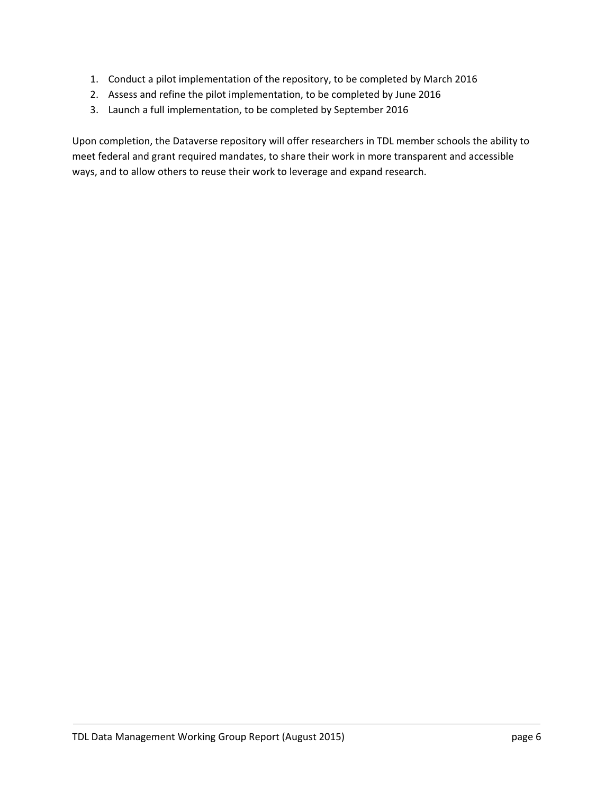- 1. Conduct a pilot implementation of the repository, to be completed by March 2016
- 2. Assess and refine the pilot implementation, to be completed by June 2016
- 3. Launch a full implementation, to be completed by September 2016

Upon completion, the Dataverse repository will offer researchers in TDL member schools the ability to meet federal and grant required mandates, to share their work in more transparent and accessible ways, and to allow others to reuse their work to leverage and expand research.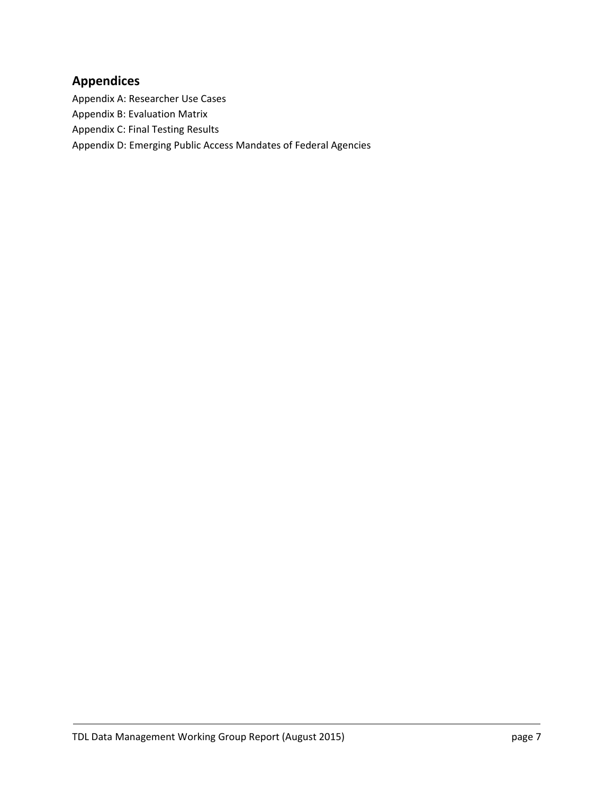# **Appendices**

Appendix A: Researcher Use Cases

Appendix B: Evaluation Matrix

Appendix C: Final Testing Results

Appendix D: Emerging Public Access Mandates of Federal Agencies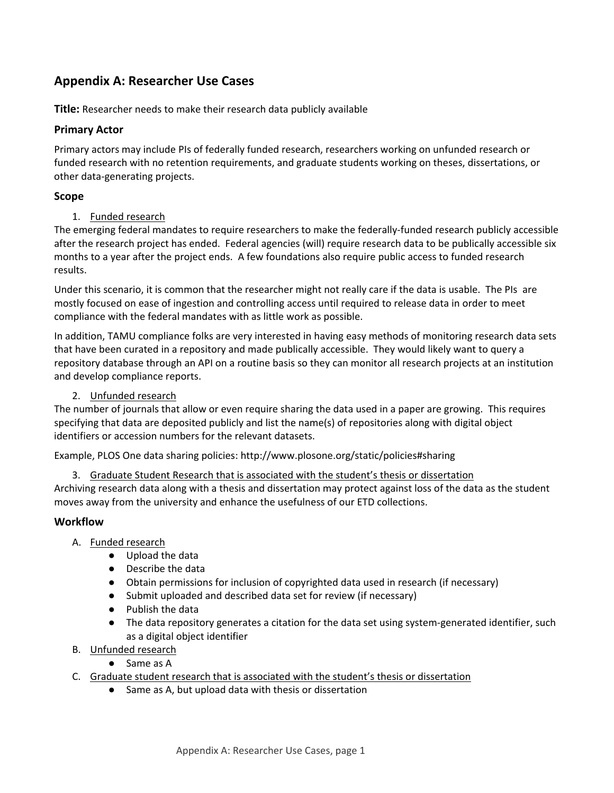# **Appendix A: Researcher Use Cases**

**Title:** Researcher needs to make their research data publicly available

# **Primary Actor**

Primary actors may include PIs of federally funded research, researchers working on unfunded research or funded research with no retention requirements, and graduate students working on theses, dissertations, or other data‐generating projects.

### **Scope**

#### 1. Funded research

The emerging federal mandates to require researchers to make the federally‐funded research publicly accessible after the research project has ended. Federal agencies (will) require research data to be publically accessible six months to a year after the project ends. A few foundations also require public access to funded research results.

Under this scenario, it is common that the researcher might not really care if the data is usable. The PIs are mostly focused on ease of ingestion and controlling access until required to release data in order to meet compliance with the federal mandates with as little work as possible.

In addition, TAMU compliance folks are very interested in having easy methods of monitoring research data sets that have been curated in a repository and made publically accessible. They would likely want to query a repository database through an API on a routine basis so they can monitor all research projects at an institution and develop compliance reports.

#### 2. Unfunded research

The number of journals that allow or even require sharing the data used in a paper are growing. This requires specifying that data are deposited publicly and list the name(s) of repositories along with digital object identifiers or accession numbers for the relevant datasets.

Example, PLOS One data sharing policies: http://www.plosone.org/static/policies#sharing

3. Graduate Student Research that is associated with the student's thesis or dissertation

Archiving research data along with a thesis and dissertation may protect against loss of the data as the student moves away from the university and enhance the usefulness of our ETD collections.

#### **Workflow**

- A. Funded research
	- Upload the data
	- Describe the data
	- Obtain permissions for inclusion of copyrighted data used in research (if necessary)
	- Submit uploaded and described data set for review (if necessary)
	- Publish the data
	- The data repository generates a citation for the data set using system-generated identifier, such as a digital object identifier
- B. Unfunded research
	- Same as A
- C. Graduate student research that is associated with the student's thesis or dissertation
	- Same as A, but upload data with thesis or dissertation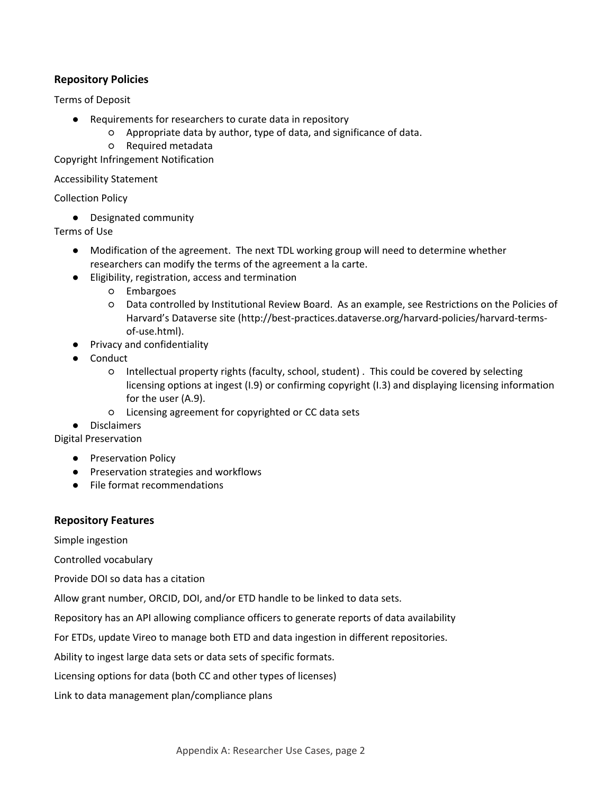# **Repository Policies**

Terms of Deposit

- Requirements for researchers to curate data in repository
	- Appropriate data by author, type of data, and significance of data.
	- Required metadata

Copyright Infringement Notification

Accessibility Statement

Collection Policy

● Designated community

Terms of Use

- Modification of the agreement. The next TDL working group will need to determine whether researchers can modify the terms of the agreement a la carte.
- Eligibility, registration, access and termination
	- Embargoes
	- Data controlled by Institutional Review Board. As an example, see Restrictions on the Policies of Harvard's Dataverse site (http://best-practices.dataverse.org/harvard-policies/harvard-termsof‐use.html).
- Privacy and confidentiality
- Conduct
	- Intellectual property rights (faculty, school, student) . This could be covered by selecting licensing options at ingest (I.9) or confirming copyright (I.3) and displaying licensing information for the user (A.9).
	- Licensing agreement for copyrighted or CC data sets
- Disclaimers

Digital Preservation

- Preservation Policy
- Preservation strategies and workflows
- File format recommendations

# **Repository Features**

Simple ingestion

Controlled vocabulary

Provide DOI so data has a citation

Allow grant number, ORCID, DOI, and/or ETD handle to be linked to data sets.

Repository has an API allowing compliance officers to generate reports of data availability

For ETDs, update Vireo to manage both ETD and data ingestion in different repositories.

Ability to ingest large data sets or data sets of specific formats.

Licensing options for data (both CC and other types of licenses)

Link to data management plan/compliance plans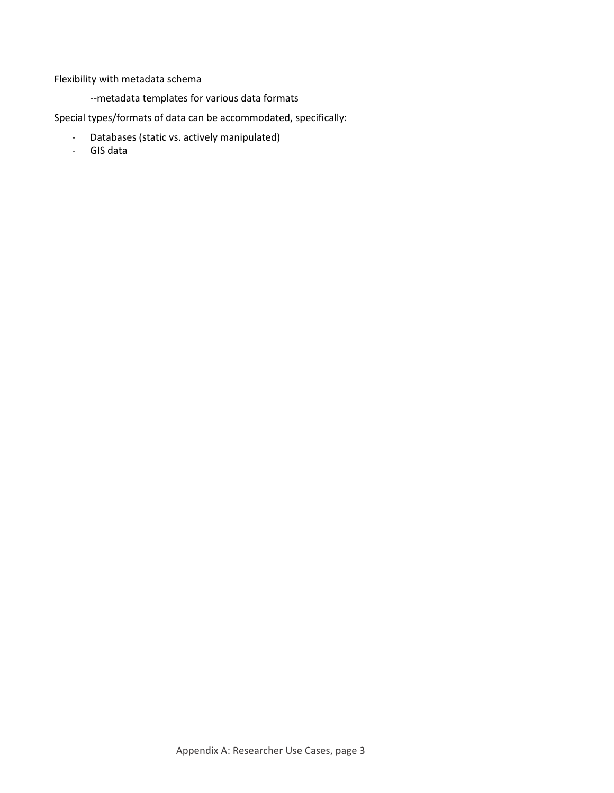Flexibility with metadata schema

‐‐metadata templates for various data formats

Special types/formats of data can be accommodated, specifically:

- ‐ Databases (static vs. actively manipulated)
- ‐ GIS data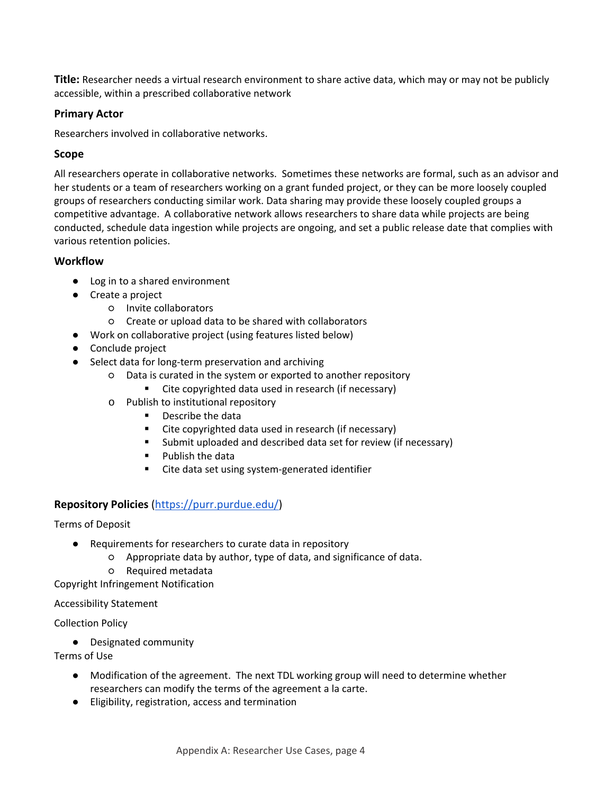**Title:** Researcher needs a virtual research environment to share active data, which may or may not be publicly accessible, within a prescribed collaborative network

#### **Primary Actor**

Researchers involved in collaborative networks.

# **Scope**

All researchers operate in collaborative networks. Sometimes these networks are formal, such as an advisor and her students or a team of researchers working on a grant funded project, or they can be more loosely coupled groups of researchers conducting similar work. Data sharing may provide these loosely coupled groups a competitive advantage. A collaborative network allows researchers to share data while projects are being conducted, schedule data ingestion while projects are ongoing, and set a public release date that complies with various retention policies.

# **Workflow**

- Log in to a shared environment
- Create a project
	- Invite collaborators
	- Create or upload data to be shared with collaborators
- Work on collaborative project (using features listed below)
- Conclude project
- Select data for long-term preservation and archiving
	- Data is curated in the system or exported to another repository
		- Cite copyrighted data used in research (if necessary)
	- o Publish to institutional repository
		- **Describe the data**
		- Cite copyrighted data used in research (if necessary)
		- **Submit uploaded and described data set for review (if necessary)**
		- **Publish the data**
		- Cite data set using system-generated identifier

# **Repository Policies** (https://purr.purdue.edu/)

#### Terms of Deposit

- Requirements for researchers to curate data in repository
	- Appropriate data by author, type of data, and significance of data.
	- Required metadata

Copyright Infringement Notification

#### Accessibility Statement

#### Collection Policy

● Designated community

#### Terms of Use

- Modification of the agreement. The next TDL working group will need to determine whether researchers can modify the terms of the agreement a la carte.
- Eligibility, registration, access and termination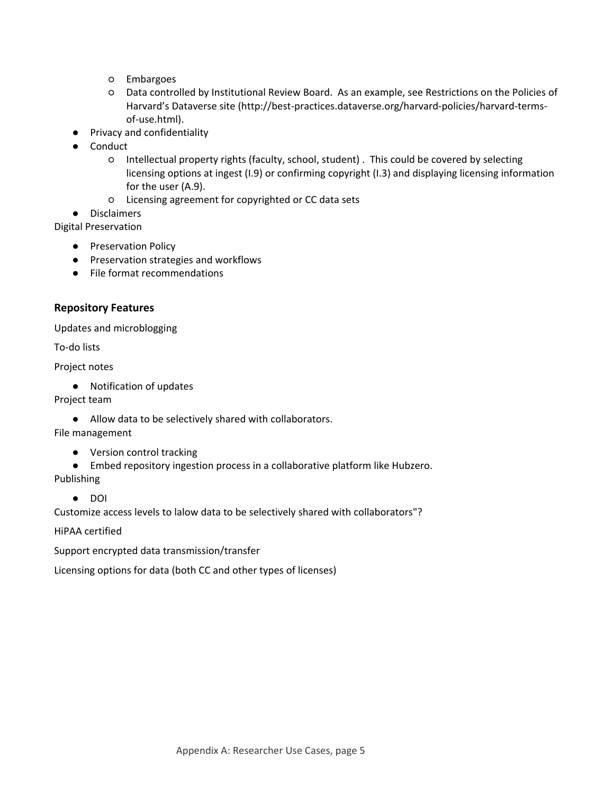- Embargoes
- Data controlled by Institutional Review Board. As an example, see Restrictions on the Policies of Harvard's Dataverse site (http://best-practices.dataverse.org/harvard-policies/harvard-termsof‐use.html).
- Privacy and confidentiality
- Conduct
	- Intellectual property rights (faculty, school, student) . This could be covered by selecting licensing options at ingest (I.9) or confirming copyright (I.3) and displaying licensing information for the user (A.9).
	- Licensing agreement for copyrighted or CC data sets

● Disclaimers

Digital Preservation

- Preservation Policy
- Preservation strategies and workflows
- File format recommendations

#### **Repository Features**

Updates and microblogging

To‐do lists

Project notes

● Notification of updates

Project team

● Allow data to be selectively shared with collaborators.

File management

- Version control tracking
- Embed repository ingestion process in a collaborative platform like Hubzero.

Publishing

● DOI

Customize access levels to lalow data to be selectively shared with collaborators"?

HiPAA certified

Support encrypted data transmission/transfer

Licensing options for data (both CC and other types of licenses)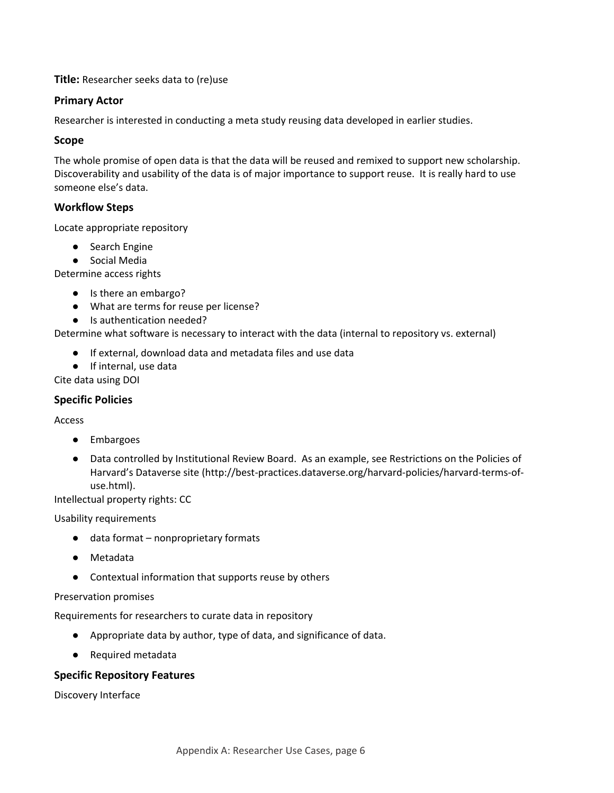**Title:** Researcher seeks data to (re)use

#### **Primary Actor**

Researcher is interested in conducting a meta study reusing data developed in earlier studies.

#### **Scope**

The whole promise of open data is that the data will be reused and remixed to support new scholarship. Discoverability and usability of the data is of major importance to support reuse. It is really hard to use someone else's data.

# **Workflow Steps**

Locate appropriate repository

- Search Engine
- Social Media

Determine access rights

- Is there an embargo?
- What are terms for reuse per license?
- Is authentication needed?

Determine what software is necessary to interact with the data (internal to repository vs. external)

- If external, download data and metadata files and use data
- If internal, use data

Cite data using DOI

#### **Specific Policies**

Access

- Embargoes
- Data controlled by Institutional Review Board. As an example, see Restrictions on the Policies of Harvard's Dataverse site (http://best-practices.dataverse.org/harvard-policies/harvard-terms-ofuse.html).

Intellectual property rights: CC

Usability requirements

- data format nonproprietary formats
- Metadata
- Contextual information that supports reuse by others

#### Preservation promises

Requirements for researchers to curate data in repository

- Appropriate data by author, type of data, and significance of data.
- Required metadata

#### **Specific Repository Features**

Discovery Interface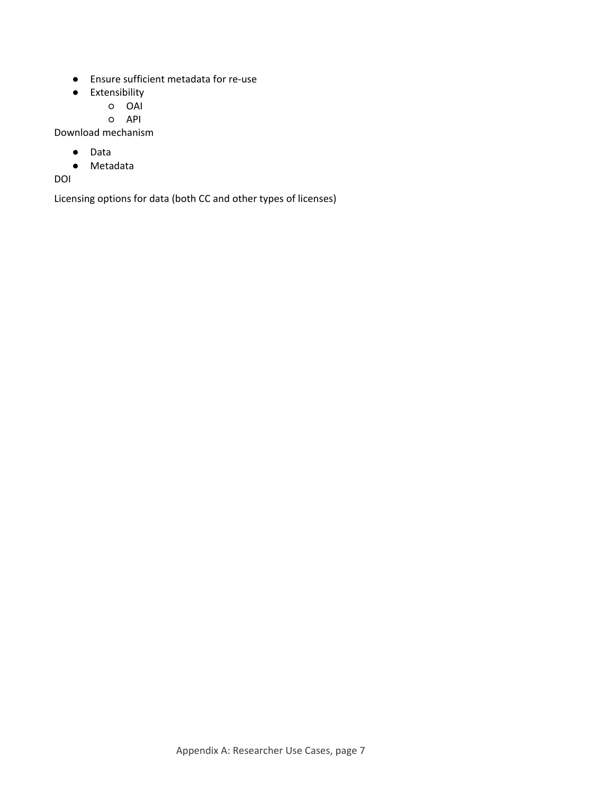- Ensure sufficient metadata for re-use
- Extensibility
	- OAI
	- API

Download mechanism

- Data
- Metadata

DOI

Licensing options for data (both CC and other types of licenses)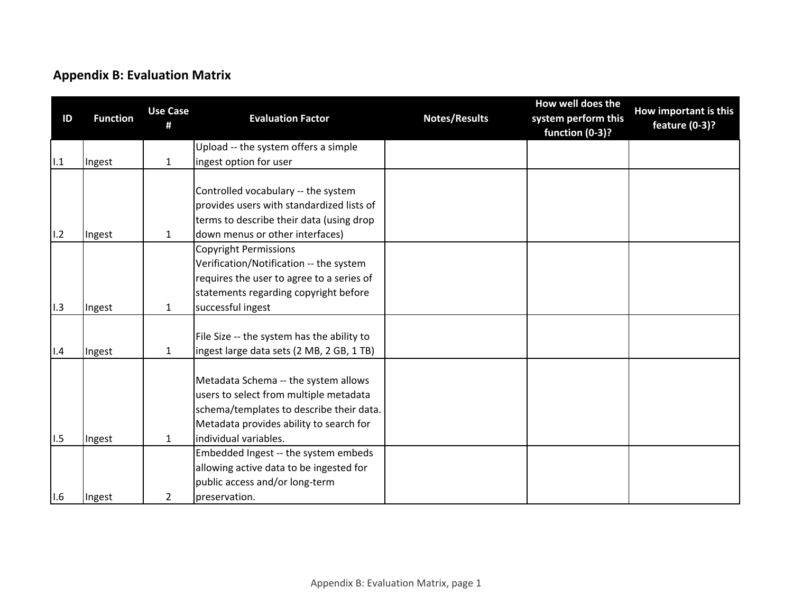# **Appendix B: Evaluation Matrix**

| ID  | <b>Function</b> | <b>Use Case</b><br>Ħ | <b>Evaluation Factor</b>                                                                                                                                                                       | <b>Notes/Results</b> | How well does the<br>system perform this<br>function (0-3)? | How important is this<br>feature (0-3)? |
|-----|-----------------|----------------------|------------------------------------------------------------------------------------------------------------------------------------------------------------------------------------------------|----------------------|-------------------------------------------------------------|-----------------------------------------|
|     |                 |                      | Upload -- the system offers a simple                                                                                                                                                           |                      |                                                             |                                         |
| 1.1 | Ingest          | $\mathbf{1}$         | ingest option for user                                                                                                                                                                         |                      |                                                             |                                         |
| 1.2 | Ingest          | $\mathbf{1}$         | Controlled vocabulary -- the system<br>provides users with standardized lists of<br>terms to describe their data (using drop<br>down menus or other interfaces)                                |                      |                                                             |                                         |
|     |                 |                      | <b>Copyright Permissions</b>                                                                                                                                                                   |                      |                                                             |                                         |
|     |                 |                      | Verification/Notification -- the system                                                                                                                                                        |                      |                                                             |                                         |
|     |                 |                      | requires the user to agree to a series of                                                                                                                                                      |                      |                                                             |                                         |
|     |                 |                      | statements regarding copyright before                                                                                                                                                          |                      |                                                             |                                         |
| 1.3 | Ingest          | $\mathbf{1}$         | successful ingest                                                                                                                                                                              |                      |                                                             |                                         |
| 1.4 | Ingest          | $\mathbf{1}$         | File Size -- the system has the ability to<br>ingest large data sets (2 MB, 2 GB, 1 TB)                                                                                                        |                      |                                                             |                                         |
| 1.5 | Ingest          | $\mathbf{1}$         | Metadata Schema -- the system allows<br>users to select from multiple metadata<br>schema/templates to describe their data.<br>Metadata provides ability to search for<br>individual variables. |                      |                                                             |                                         |
|     |                 |                      | Embedded Ingest -- the system embeds                                                                                                                                                           |                      |                                                             |                                         |
|     |                 |                      | allowing active data to be ingested for                                                                                                                                                        |                      |                                                             |                                         |
|     |                 |                      | public access and/or long-term                                                                                                                                                                 |                      |                                                             |                                         |
| 1.6 | Ingest          | 2                    | preservation.                                                                                                                                                                                  |                      |                                                             |                                         |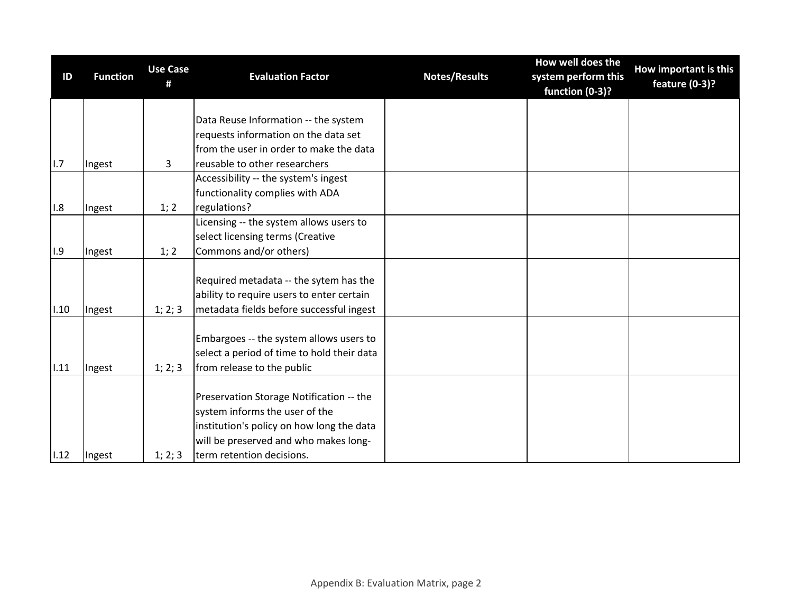| ID   | <b>Function</b> | <b>Use Case</b><br># | <b>Evaluation Factor</b>                   | <b>Notes/Results</b> | How well does the<br>system perform this<br>function (0-3)? | How important is this<br>feature (0-3)? |
|------|-----------------|----------------------|--------------------------------------------|----------------------|-------------------------------------------------------------|-----------------------------------------|
|      |                 |                      |                                            |                      |                                                             |                                         |
|      |                 |                      | Data Reuse Information -- the system       |                      |                                                             |                                         |
|      |                 |                      | requests information on the data set       |                      |                                                             |                                         |
|      |                 |                      | from the user in order to make the data    |                      |                                                             |                                         |
| 1.7  | Ingest          | $\mathbf{3}$         | reusable to other researchers              |                      |                                                             |                                         |
|      |                 |                      | Accessibility -- the system's ingest       |                      |                                                             |                                         |
|      |                 |                      | functionality complies with ADA            |                      |                                                             |                                         |
| 1.8  | Ingest          | 1; 2                 | regulations?                               |                      |                                                             |                                         |
|      |                 |                      | Licensing -- the system allows users to    |                      |                                                             |                                         |
|      |                 |                      | select licensing terms (Creative           |                      |                                                             |                                         |
| 1.9  | Ingest          | 1; 2                 | Commons and/or others)                     |                      |                                                             |                                         |
|      |                 |                      |                                            |                      |                                                             |                                         |
|      |                 |                      | Required metadata -- the sytem has the     |                      |                                                             |                                         |
|      |                 |                      | ability to require users to enter certain  |                      |                                                             |                                         |
| 1.10 | Ingest          | 1; 2; 3              | metadata fields before successful ingest   |                      |                                                             |                                         |
|      |                 |                      |                                            |                      |                                                             |                                         |
|      |                 |                      | Embargoes -- the system allows users to    |                      |                                                             |                                         |
|      |                 |                      | select a period of time to hold their data |                      |                                                             |                                         |
| 1.11 | Ingest          | 1; 2; 3              | from release to the public                 |                      |                                                             |                                         |
|      |                 |                      |                                            |                      |                                                             |                                         |
|      |                 |                      | Preservation Storage Notification -- the   |                      |                                                             |                                         |
|      |                 |                      | system informs the user of the             |                      |                                                             |                                         |
|      |                 |                      | institution's policy on how long the data  |                      |                                                             |                                         |
|      |                 |                      | will be preserved and who makes long-      |                      |                                                             |                                         |
| 1.12 | Ingest          | 1; 2; 3              | term retention decisions.                  |                      |                                                             |                                         |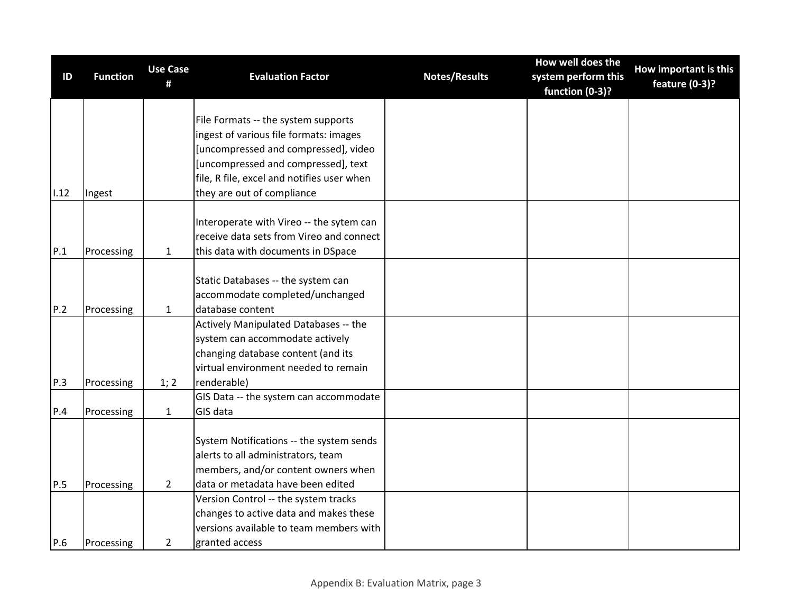| ID   | <b>Function</b> | <b>Use Case</b><br># | <b>Evaluation Factor</b>                   | <b>Notes/Results</b> | How well does the<br>system perform this<br>function (0-3)? | How important is this<br>feature (0-3)? |
|------|-----------------|----------------------|--------------------------------------------|----------------------|-------------------------------------------------------------|-----------------------------------------|
|      |                 |                      | File Formats -- the system supports        |                      |                                                             |                                         |
|      |                 |                      | ingest of various file formats: images     |                      |                                                             |                                         |
|      |                 |                      | [uncompressed and compressed], video       |                      |                                                             |                                         |
|      |                 |                      | [uncompressed and compressed], text        |                      |                                                             |                                         |
|      |                 |                      | file, R file, excel and notifies user when |                      |                                                             |                                         |
| 1.12 | Ingest          |                      | they are out of compliance                 |                      |                                                             |                                         |
|      |                 |                      |                                            |                      |                                                             |                                         |
|      |                 |                      | Interoperate with Vireo -- the sytem can   |                      |                                                             |                                         |
|      |                 |                      | receive data sets from Vireo and connect   |                      |                                                             |                                         |
| P.1  | Processing      | $\mathbf{1}$         | this data with documents in DSpace         |                      |                                                             |                                         |
|      |                 |                      |                                            |                      |                                                             |                                         |
|      |                 |                      | Static Databases -- the system can         |                      |                                                             |                                         |
|      |                 |                      | accommodate completed/unchanged            |                      |                                                             |                                         |
| P.2  | Processing      | $\mathbf{1}$         | database content                           |                      |                                                             |                                         |
|      |                 |                      | Actively Manipulated Databases -- the      |                      |                                                             |                                         |
|      |                 |                      | system can accommodate actively            |                      |                                                             |                                         |
|      |                 |                      | changing database content (and its         |                      |                                                             |                                         |
|      |                 |                      | virtual environment needed to remain       |                      |                                                             |                                         |
| P.3  | Processing      | 1; 2                 | renderable)                                |                      |                                                             |                                         |
|      |                 |                      | GIS Data -- the system can accommodate     |                      |                                                             |                                         |
| P.4  | Processing      | $\mathbf{1}$         | GIS data                                   |                      |                                                             |                                         |
|      |                 |                      |                                            |                      |                                                             |                                         |
|      |                 |                      | System Notifications -- the system sends   |                      |                                                             |                                         |
|      |                 |                      | alerts to all administrators, team         |                      |                                                             |                                         |
|      |                 |                      | members, and/or content owners when        |                      |                                                             |                                         |
| P.5  | Processing      | $\overline{2}$       | data or metadata have been edited          |                      |                                                             |                                         |
|      |                 |                      | Version Control -- the system tracks       |                      |                                                             |                                         |
|      |                 |                      | changes to active data and makes these     |                      |                                                             |                                         |
|      |                 |                      | versions available to team members with    |                      |                                                             |                                         |
| P.6  | Processing      | $\overline{2}$       | granted access                             |                      |                                                             |                                         |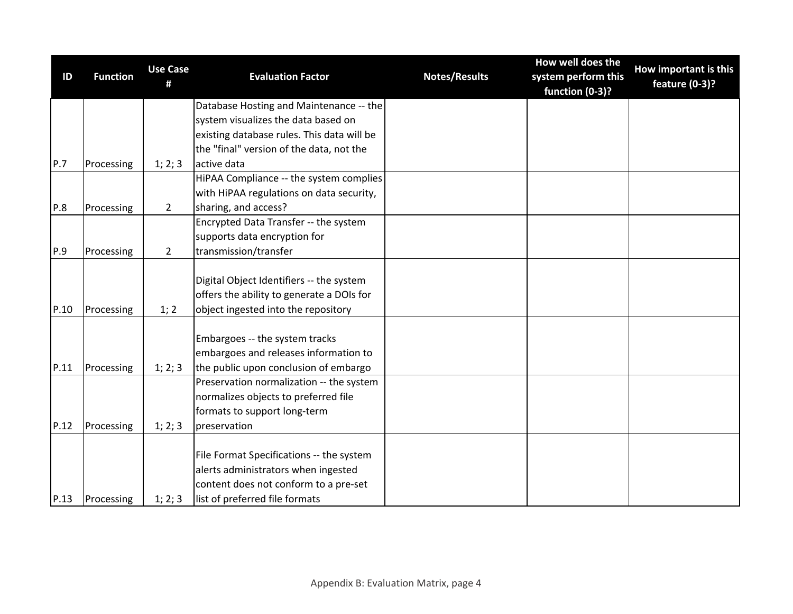| ID   | <b>Function</b> | <b>Use Case</b> | <b>Evaluation Factor</b>                   | <b>Notes/Results</b> | How well does the<br>system perform this | How important is this |
|------|-----------------|-----------------|--------------------------------------------|----------------------|------------------------------------------|-----------------------|
|      |                 | #               |                                            |                      | function (0-3)?                          | feature (0-3)?        |
|      |                 |                 | Database Hosting and Maintenance -- the    |                      |                                          |                       |
|      |                 |                 | system visualizes the data based on        |                      |                                          |                       |
|      |                 |                 | existing database rules. This data will be |                      |                                          |                       |
|      |                 |                 | the "final" version of the data, not the   |                      |                                          |                       |
| P.7  | Processing      | 1; 2; 3         | active data                                |                      |                                          |                       |
|      |                 |                 | HiPAA Compliance -- the system complies    |                      |                                          |                       |
|      |                 |                 | with HiPAA regulations on data security,   |                      |                                          |                       |
| P.8  | Processing      | $\overline{2}$  | sharing, and access?                       |                      |                                          |                       |
|      |                 |                 | Encrypted Data Transfer -- the system      |                      |                                          |                       |
|      |                 |                 | supports data encryption for               |                      |                                          |                       |
| P.9  | Processing      | $\overline{2}$  | transmission/transfer                      |                      |                                          |                       |
|      |                 |                 |                                            |                      |                                          |                       |
|      |                 |                 | Digital Object Identifiers -- the system   |                      |                                          |                       |
|      |                 |                 | offers the ability to generate a DOIs for  |                      |                                          |                       |
| P.10 | Processing      | 1; 2            | object ingested into the repository        |                      |                                          |                       |
|      |                 |                 |                                            |                      |                                          |                       |
|      |                 |                 | Embargoes -- the system tracks             |                      |                                          |                       |
|      |                 |                 | embargoes and releases information to      |                      |                                          |                       |
| P.11 | Processing      | 1; 2; 3         | the public upon conclusion of embargo      |                      |                                          |                       |
|      |                 |                 | Preservation normalization -- the system   |                      |                                          |                       |
|      |                 |                 | normalizes objects to preferred file       |                      |                                          |                       |
|      |                 |                 | formats to support long-term               |                      |                                          |                       |
| P.12 | Processing      | 1; 2; 3         | preservation                               |                      |                                          |                       |
|      |                 |                 |                                            |                      |                                          |                       |
|      |                 |                 | File Format Specifications -- the system   |                      |                                          |                       |
|      |                 |                 | alerts administrators when ingested        |                      |                                          |                       |
|      |                 |                 | content does not conform to a pre-set      |                      |                                          |                       |
| P.13 | Processing      | 1; 2; 3         | list of preferred file formats             |                      |                                          |                       |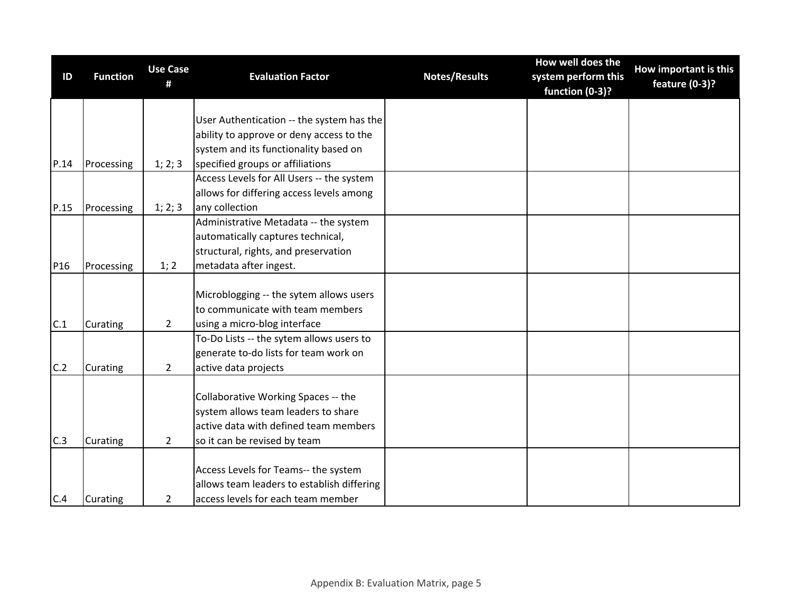| ID   | <b>Function</b> | <b>Use Case</b><br># | <b>Evaluation Factor</b>                   | <b>Notes/Results</b> | How well does the<br>system perform this<br>function (0-3)? | How important is this<br>feature (0-3)? |
|------|-----------------|----------------------|--------------------------------------------|----------------------|-------------------------------------------------------------|-----------------------------------------|
|      |                 |                      |                                            |                      |                                                             |                                         |
|      |                 |                      | User Authentication -- the system has the  |                      |                                                             |                                         |
|      |                 |                      | ability to approve or deny access to the   |                      |                                                             |                                         |
|      |                 |                      | system and its functionality based on      |                      |                                                             |                                         |
| P.14 | Processing      | 1; 2; 3              | specified groups or affiliations           |                      |                                                             |                                         |
|      |                 |                      | Access Levels for All Users -- the system  |                      |                                                             |                                         |
|      |                 |                      | allows for differing access levels among   |                      |                                                             |                                         |
| P.15 | Processing      | 1; 2; 3              | any collection                             |                      |                                                             |                                         |
|      |                 |                      | Administrative Metadata -- the system      |                      |                                                             |                                         |
|      |                 |                      | automatically captures technical,          |                      |                                                             |                                         |
|      |                 |                      | structural, rights, and preservation       |                      |                                                             |                                         |
| P16  | Processing      | 1; 2                 | metadata after ingest.                     |                      |                                                             |                                         |
|      |                 |                      |                                            |                      |                                                             |                                         |
|      |                 |                      | Microblogging -- the sytem allows users    |                      |                                                             |                                         |
|      |                 |                      | to communicate with team members           |                      |                                                             |                                         |
| C.1  | Curating        | $\overline{2}$       | using a micro-blog interface               |                      |                                                             |                                         |
|      |                 |                      | To-Do Lists -- the sytem allows users to   |                      |                                                             |                                         |
|      |                 |                      | generate to-do lists for team work on      |                      |                                                             |                                         |
| C.2  | Curating        | $\overline{2}$       | active data projects                       |                      |                                                             |                                         |
|      |                 |                      |                                            |                      |                                                             |                                         |
|      |                 |                      | Collaborative Working Spaces -- the        |                      |                                                             |                                         |
|      |                 |                      | system allows team leaders to share        |                      |                                                             |                                         |
|      |                 |                      | active data with defined team members      |                      |                                                             |                                         |
| C.3  | Curating        | $\overline{2}$       | so it can be revised by team               |                      |                                                             |                                         |
|      |                 |                      |                                            |                      |                                                             |                                         |
|      |                 |                      | Access Levels for Teams-- the system       |                      |                                                             |                                         |
|      |                 |                      | allows team leaders to establish differing |                      |                                                             |                                         |
| C.4  | Curating        | $\overline{2}$       | access levels for each team member         |                      |                                                             |                                         |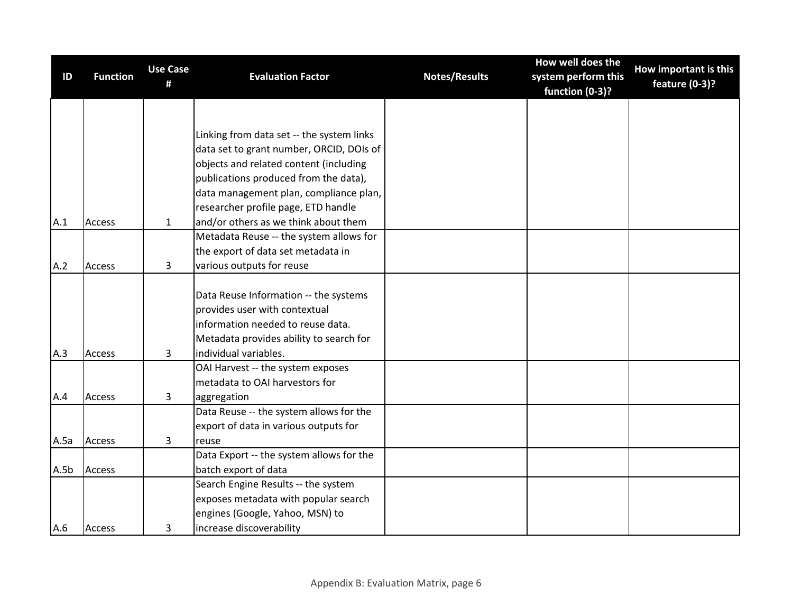| ID   | <b>Function</b> | <b>Use Case</b><br># | <b>Evaluation Factor</b>                                                        | <b>Notes/Results</b> | How well does the<br>system perform this<br>function (0-3)? | How important is this<br>feature (0-3)? |
|------|-----------------|----------------------|---------------------------------------------------------------------------------|----------------------|-------------------------------------------------------------|-----------------------------------------|
|      |                 |                      |                                                                                 |                      |                                                             |                                         |
|      |                 |                      |                                                                                 |                      |                                                             |                                         |
|      |                 |                      | Linking from data set -- the system links                                       |                      |                                                             |                                         |
|      |                 |                      | data set to grant number, ORCID, DOIs of                                        |                      |                                                             |                                         |
|      |                 |                      | objects and related content (including                                          |                      |                                                             |                                         |
|      |                 |                      | publications produced from the data),<br>data management plan, compliance plan, |                      |                                                             |                                         |
|      |                 |                      | researcher profile page, ETD handle                                             |                      |                                                             |                                         |
| A.1  | Access          | $\mathbf{1}$         | and/or others as we think about them                                            |                      |                                                             |                                         |
|      |                 |                      | Metadata Reuse -- the system allows for                                         |                      |                                                             |                                         |
|      |                 |                      | the export of data set metadata in                                              |                      |                                                             |                                         |
| A.2  | <b>Access</b>   | 3                    | various outputs for reuse                                                       |                      |                                                             |                                         |
|      |                 |                      |                                                                                 |                      |                                                             |                                         |
|      |                 |                      | Data Reuse Information -- the systems                                           |                      |                                                             |                                         |
|      |                 |                      | provides user with contextual                                                   |                      |                                                             |                                         |
|      |                 |                      | information needed to reuse data.                                               |                      |                                                             |                                         |
|      |                 |                      | Metadata provides ability to search for                                         |                      |                                                             |                                         |
| A.3  | Access          | 3                    | individual variables.                                                           |                      |                                                             |                                         |
|      |                 |                      | OAI Harvest -- the system exposes                                               |                      |                                                             |                                         |
|      |                 |                      | metadata to OAI harvestors for                                                  |                      |                                                             |                                         |
| A.4  | <b>Access</b>   | 3                    | aggregation                                                                     |                      |                                                             |                                         |
|      |                 |                      | Data Reuse -- the system allows for the                                         |                      |                                                             |                                         |
|      |                 |                      | export of data in various outputs for                                           |                      |                                                             |                                         |
| A.5a | <b>Access</b>   | 3                    | reuse                                                                           |                      |                                                             |                                         |
|      |                 |                      | Data Export -- the system allows for the                                        |                      |                                                             |                                         |
| A.5b | <b>Access</b>   |                      | batch export of data                                                            |                      |                                                             |                                         |
|      |                 |                      | Search Engine Results -- the system                                             |                      |                                                             |                                         |
|      |                 |                      | exposes metadata with popular search                                            |                      |                                                             |                                         |
|      |                 |                      | engines (Google, Yahoo, MSN) to                                                 |                      |                                                             |                                         |
| A.6  | <b>Access</b>   | 3                    | increase discoverability                                                        |                      |                                                             |                                         |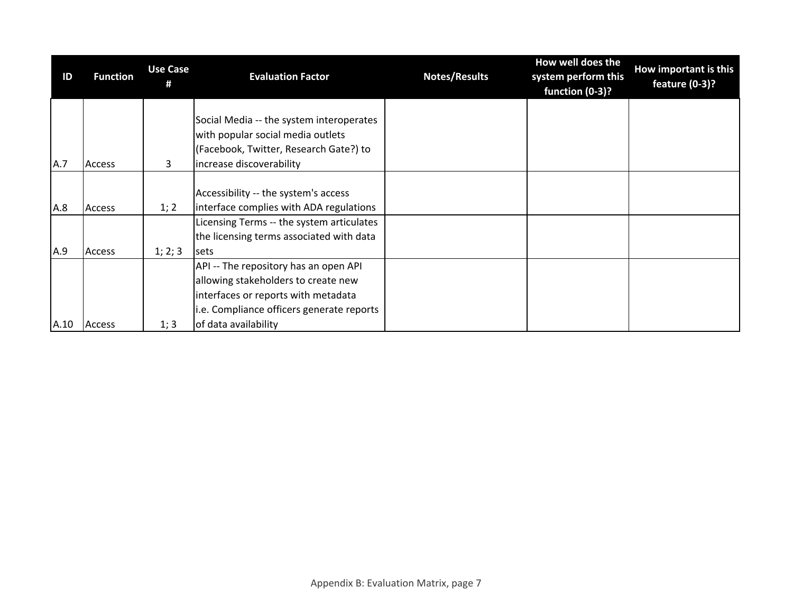| ID   | <b>Function</b> | <b>Use Case</b> | <b>Evaluation Factor</b>                                                                                                                                                                 | <b>Notes/Results</b> | How well does the<br>system perform this<br>function (0-3)? | How important is this<br>feature (0-3)? |
|------|-----------------|-----------------|------------------------------------------------------------------------------------------------------------------------------------------------------------------------------------------|----------------------|-------------------------------------------------------------|-----------------------------------------|
| A.7  | <b>Access</b>   | 3               | Social Media -- the system interoperates<br>with popular social media outlets<br>(Facebook, Twitter, Research Gate?) to<br>increase discoverability                                      |                      |                                                             |                                         |
| A.8  | <b>Access</b>   | 1; 2            | Accessibility -- the system's access<br>interface complies with ADA regulations                                                                                                          |                      |                                                             |                                         |
| A.9  | <b>Access</b>   | 1; 2; 3         | Licensing Terms -- the system articulates<br>the licensing terms associated with data<br><b>sets</b>                                                                                     |                      |                                                             |                                         |
| A.10 | Access          | 1; 3            | API -- The repository has an open API<br>allowing stakeholders to create new<br>interfaces or reports with metadata<br>i.e. Compliance officers generate reports<br>of data availability |                      |                                                             |                                         |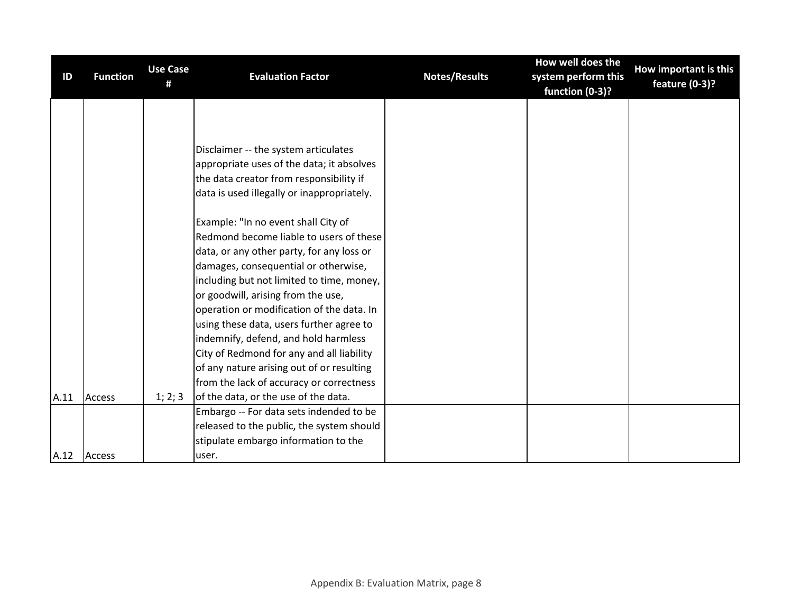| ID   | <b>Function</b> | <b>Use Case</b><br># | <b>Evaluation Factor</b>                   | <b>Notes/Results</b> | How well does the<br>system perform this<br>function (0-3)? | How important is this<br>feature (0-3)? |
|------|-----------------|----------------------|--------------------------------------------|----------------------|-------------------------------------------------------------|-----------------------------------------|
|      |                 |                      |                                            |                      |                                                             |                                         |
|      |                 |                      |                                            |                      |                                                             |                                         |
|      |                 |                      | Disclaimer -- the system articulates       |                      |                                                             |                                         |
|      |                 |                      | appropriate uses of the data; it absolves  |                      |                                                             |                                         |
|      |                 |                      | the data creator from responsibility if    |                      |                                                             |                                         |
|      |                 |                      | data is used illegally or inappropriately. |                      |                                                             |                                         |
|      |                 |                      | Example: "In no event shall City of        |                      |                                                             |                                         |
|      |                 |                      | Redmond become liable to users of these    |                      |                                                             |                                         |
|      |                 |                      | data, or any other party, for any loss or  |                      |                                                             |                                         |
|      |                 |                      | damages, consequential or otherwise,       |                      |                                                             |                                         |
|      |                 |                      | including but not limited to time, money,  |                      |                                                             |                                         |
|      |                 |                      | or goodwill, arising from the use,         |                      |                                                             |                                         |
|      |                 |                      | operation or modification of the data. In  |                      |                                                             |                                         |
|      |                 |                      | using these data, users further agree to   |                      |                                                             |                                         |
|      |                 |                      | indemnify, defend, and hold harmless       |                      |                                                             |                                         |
|      |                 |                      | City of Redmond for any and all liability  |                      |                                                             |                                         |
|      |                 |                      | of any nature arising out of or resulting  |                      |                                                             |                                         |
|      |                 |                      | from the lack of accuracy or correctness   |                      |                                                             |                                         |
| A.11 | <b>Access</b>   | 1; 2; 3              | of the data, or the use of the data.       |                      |                                                             |                                         |
|      |                 |                      | Embargo -- For data sets indended to be    |                      |                                                             |                                         |
|      |                 |                      | released to the public, the system should  |                      |                                                             |                                         |
|      |                 |                      | stipulate embargo information to the       |                      |                                                             |                                         |
| A.12 | <b>Access</b>   |                      | user.                                      |                      |                                                             |                                         |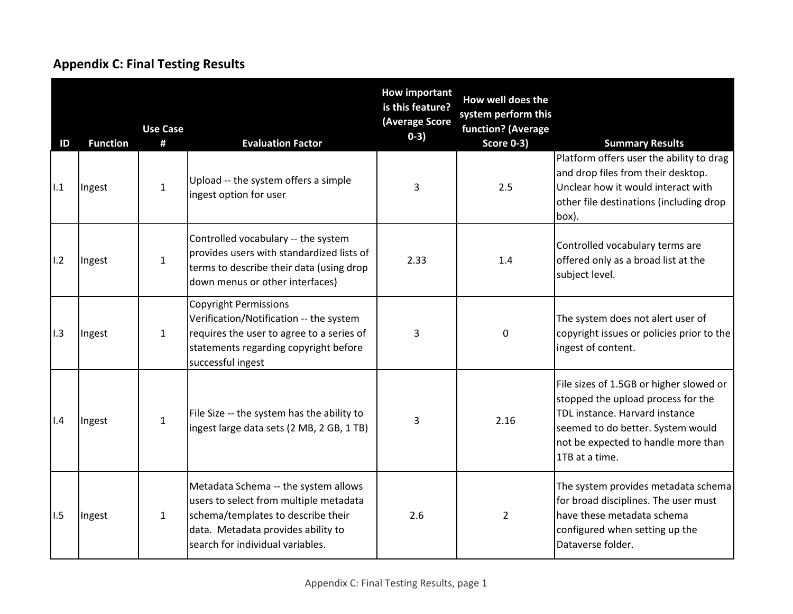# **Appendix C: Final Testing Results**

| ID  | <b>Function</b> | <b>Use Case</b><br># | <b>Evaluation Factor</b>                                                                                                                                                                       | <b>How important</b><br>is this feature?<br>(Average Score<br>$0-3)$ | How well does the<br>system perform this<br>function? (Average<br><b>Score 0-3)</b> | <b>Summary Results</b>                                                                                                                                                                                        |
|-----|-----------------|----------------------|------------------------------------------------------------------------------------------------------------------------------------------------------------------------------------------------|----------------------------------------------------------------------|-------------------------------------------------------------------------------------|---------------------------------------------------------------------------------------------------------------------------------------------------------------------------------------------------------------|
| 1.1 | Ingest          | $\mathbf{1}$         | Upload -- the system offers a simple<br>ingest option for user                                                                                                                                 | 3                                                                    | 2.5                                                                                 | Platform offers user the ability to drag<br>and drop files from their desktop.<br>Unclear how it would interact with<br>other file destinations (including drop<br>box).                                      |
| 1.2 | Ingest          | $\mathbf{1}$         | Controlled vocabulary -- the system<br>provides users with standardized lists of<br>terms to describe their data (using drop<br>down menus or other interfaces)                                | 2.33                                                                 | 1.4                                                                                 | Controlled vocabulary terms are<br>offered only as a broad list at the<br>subject level.                                                                                                                      |
| 1.3 | Ingest          | $\mathbf{1}$         | <b>Copyright Permissions</b><br>Verification/Notification -- the system<br>requires the user to agree to a series of<br>statements regarding copyright before<br>successful ingest             | 3                                                                    | $\mathbf 0$                                                                         | The system does not alert user of<br>copyright issues or policies prior to the<br>ingest of content.                                                                                                          |
| 1.4 | Ingest          | $\mathbf{1}$         | File Size -- the system has the ability to<br>ingest large data sets (2 MB, 2 GB, 1 TB)                                                                                                        | 3                                                                    | 2.16                                                                                | File sizes of 1.5GB or higher slowed or<br>stopped the upload process for the<br>TDL instance. Harvard instance<br>seemed to do better. System would<br>not be expected to handle more than<br>1TB at a time. |
| 1.5 | Ingest          | $\mathbf{1}$         | Metadata Schema -- the system allows<br>users to select from multiple metadata<br>schema/templates to describe their<br>data. Metadata provides ability to<br>search for individual variables. | 2.6                                                                  | $\overline{2}$                                                                      | The system provides metadata schema<br>for broad disciplines. The user must<br>have these metadata schema<br>configured when setting up the<br>Dataverse folder.                                              |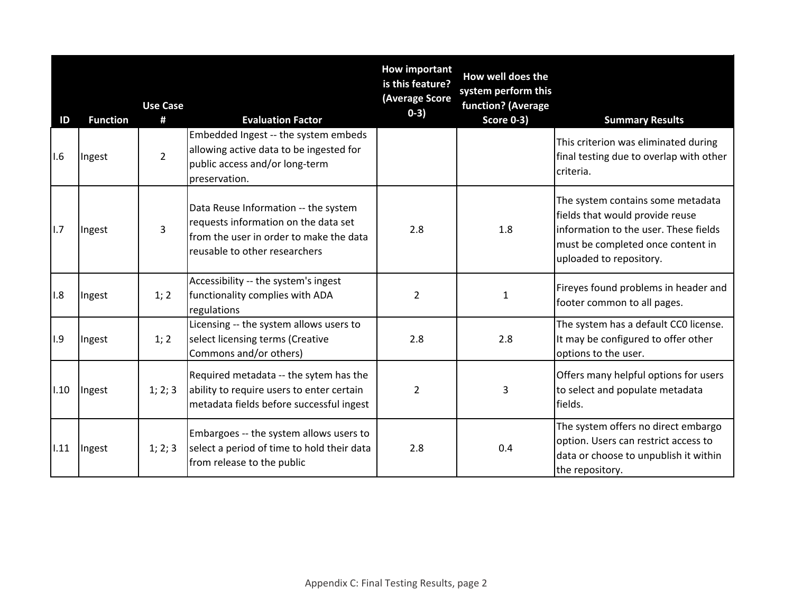| ID   | <b>Function</b> | <b>Use Case</b><br># | <b>Evaluation Factor</b>                                                                                                                                 | <b>How important</b><br>is this feature?<br>(Average Score<br>$0-3)$ | How well does the<br>system perform this<br>function? (Average<br><b>Score 0-3)</b> | <b>Summary Results</b>                                                                                                                                                        |
|------|-----------------|----------------------|----------------------------------------------------------------------------------------------------------------------------------------------------------|----------------------------------------------------------------------|-------------------------------------------------------------------------------------|-------------------------------------------------------------------------------------------------------------------------------------------------------------------------------|
| 1.6  | Ingest          | $\overline{2}$       | Embedded Ingest -- the system embeds<br>allowing active data to be ingested for<br>public access and/or long-term<br>preservation.                       |                                                                      |                                                                                     | This criterion was eliminated during<br>final testing due to overlap with other<br>criteria.                                                                                  |
| lı.7 | Ingest          | $\overline{3}$       | Data Reuse Information -- the system<br>requests information on the data set<br>from the user in order to make the data<br>reusable to other researchers | 2.8                                                                  | 1.8                                                                                 | The system contains some metadata<br>fields that would provide reuse<br>information to the user. These fields<br>must be completed once content in<br>uploaded to repository. |
| 1.8  | Ingest          | 1; 2                 | Accessibility -- the system's ingest<br>functionality complies with ADA<br>regulations                                                                   | 2                                                                    | $\mathbf{1}$                                                                        | Fireyes found problems in header and<br>footer common to all pages.                                                                                                           |
| 1.9  | Ingest          | 1; 2                 | Licensing -- the system allows users to<br>select licensing terms (Creative<br>Commons and/or others)                                                    | 2.8                                                                  | 2.8                                                                                 | The system has a default CCO license.<br>It may be configured to offer other<br>options to the user.                                                                          |
| 1.10 | Ingest          | 1; 2; 3              | Required metadata -- the sytem has the<br>ability to require users to enter certain<br>metadata fields before successful ingest                          | $\overline{2}$                                                       | 3                                                                                   | Offers many helpful options for users<br>to select and populate metadata<br>fields.                                                                                           |
| 1.11 | Ingest          | 1; 2; 3              | Embargoes -- the system allows users to<br>select a period of time to hold their data<br>from release to the public                                      | 2.8                                                                  | 0.4                                                                                 | The system offers no direct embargo<br>option. Users can restrict access to<br>data or choose to unpublish it within<br>the repository.                                       |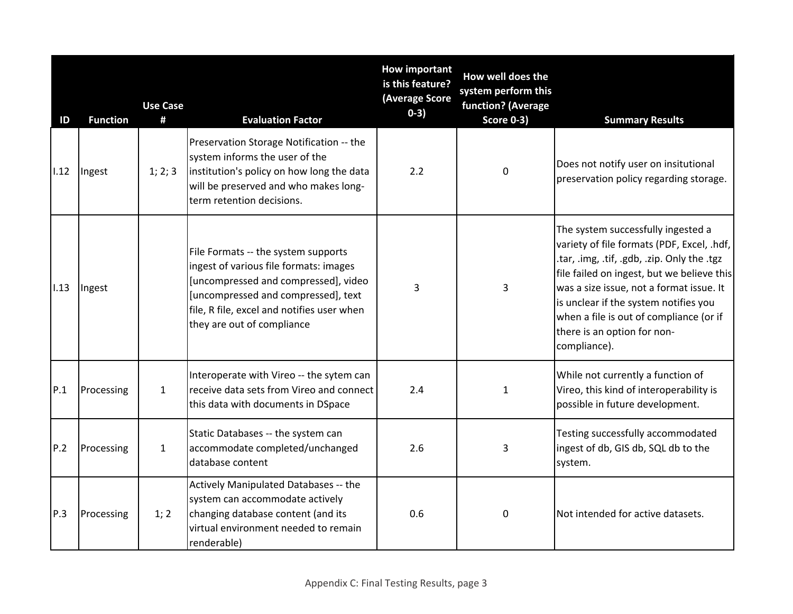| ID   | <b>Function</b> | <b>Use Case</b><br># | <b>Evaluation Factor</b>                                                                                                                                                                                                                 | <b>How important</b><br>is this feature?<br>(Average Score<br>$0-3)$ | How well does the<br>system perform this<br>function? (Average<br><b>Score 0-3)</b> | <b>Summary Results</b>                                                                                                                                                                                                                                                                                                                                       |
|------|-----------------|----------------------|------------------------------------------------------------------------------------------------------------------------------------------------------------------------------------------------------------------------------------------|----------------------------------------------------------------------|-------------------------------------------------------------------------------------|--------------------------------------------------------------------------------------------------------------------------------------------------------------------------------------------------------------------------------------------------------------------------------------------------------------------------------------------------------------|
| 1.12 | Ingest          | 1; 2; 3              | Preservation Storage Notification -- the<br>system informs the user of the<br>institution's policy on how long the data<br>will be preserved and who makes long-<br>term retention decisions.                                            | 2.2                                                                  | $\mathbf 0$                                                                         | Does not notify user on insitutional<br>preservation policy regarding storage.                                                                                                                                                                                                                                                                               |
| 1.13 | Ingest          |                      | File Formats -- the system supports<br>ingest of various file formats: images<br>[uncompressed and compressed], video<br>[uncompressed and compressed], text<br>file, R file, excel and notifies user when<br>they are out of compliance | 3                                                                    | 3                                                                                   | The system successfully ingested a<br>variety of file formats (PDF, Excel, .hdf,<br>.tar, .img, .tif, .gdb, .zip. Only the .tgz<br>file failed on ingest, but we believe this<br>was a size issue, not a format issue. It<br>is unclear if the system notifies you<br>when a file is out of compliance (or if<br>there is an option for non-<br>compliance). |
| P.1  | Processing      | $\mathbf{1}$         | Interoperate with Vireo -- the sytem can<br>receive data sets from Vireo and connect<br>this data with documents in DSpace                                                                                                               | 2.4                                                                  | $\mathbf{1}$                                                                        | While not currently a function of<br>Vireo, this kind of interoperability is<br>possible in future development.                                                                                                                                                                                                                                              |
| P.2  | Processing      | $\mathbf 1$          | Static Databases -- the system can<br>accommodate completed/unchanged<br>database content                                                                                                                                                | 2.6                                                                  | $\overline{3}$                                                                      | Testing successfully accommodated<br>ingest of db, GIS db, SQL db to the<br>system.                                                                                                                                                                                                                                                                          |
| P.3  | Processing      | 1; 2                 | Actively Manipulated Databases -- the<br>system can accommodate actively<br>changing database content (and its<br>virtual environment needed to remain<br>renderable)                                                                    | 0.6                                                                  | 0                                                                                   | Not intended for active datasets.                                                                                                                                                                                                                                                                                                                            |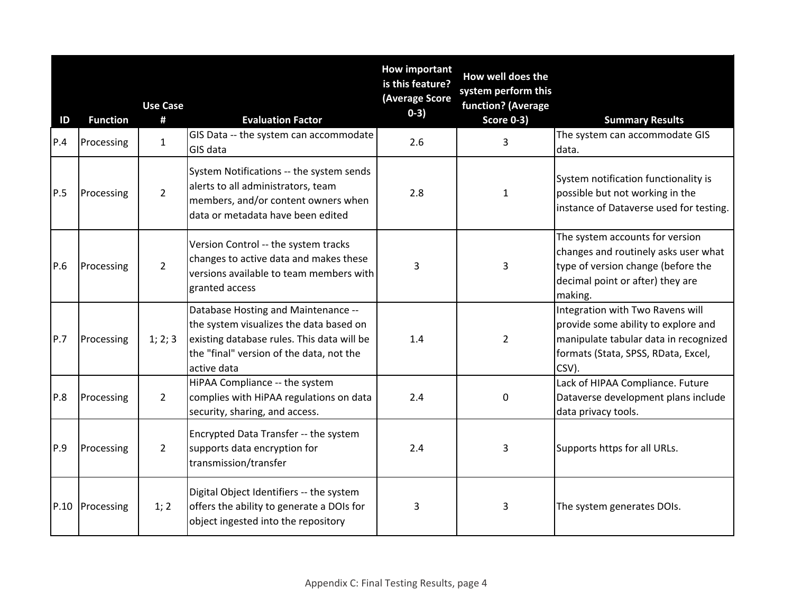| ID  | <b>Function</b> | <b>Use Case</b><br># | <b>Evaluation Factor</b>                                                                                                                                                                | <b>How important</b><br>is this feature?<br>(Average Score<br>$0-3)$ | How well does the<br>system perform this<br>function? (Average<br><b>Score 0-3)</b> | <b>Summary Results</b>                                                                                                                                           |
|-----|-----------------|----------------------|-----------------------------------------------------------------------------------------------------------------------------------------------------------------------------------------|----------------------------------------------------------------------|-------------------------------------------------------------------------------------|------------------------------------------------------------------------------------------------------------------------------------------------------------------|
| P.4 | Processing      | $\mathbf{1}$         | GIS Data -- the system can accommodate<br>GIS data                                                                                                                                      | 2.6                                                                  | 3                                                                                   | The system can accommodate GIS<br>data.                                                                                                                          |
| P.5 | Processing      | $\overline{2}$       | System Notifications -- the system sends<br>alerts to all administrators, team<br>members, and/or content owners when<br>data or metadata have been edited                              | 2.8                                                                  | $\mathbf{1}$                                                                        | System notification functionality is<br>possible but not working in the<br>instance of Dataverse used for testing.                                               |
| P.6 | Processing      | $\overline{2}$       | Version Control -- the system tracks<br>changes to active data and makes these<br>versions available to team members with<br>granted access                                             | 3                                                                    | $\overline{3}$                                                                      | The system accounts for version<br>changes and routinely asks user what<br>type of version change (before the<br>decimal point or after) they are<br>making.     |
| P.7 | Processing      | 1; 2; 3              | Database Hosting and Maintenance --<br>the system visualizes the data based on<br>existing database rules. This data will be<br>the "final" version of the data, not the<br>active data | 1.4                                                                  | $\overline{2}$                                                                      | Integration with Two Ravens will<br>provide some ability to explore and<br>manipulate tabular data in recognized<br>formats (Stata, SPSS, RData, Excel,<br>CSV). |
| P.8 | Processing      | $2^{\circ}$          | HiPAA Compliance -- the system<br>complies with HiPAA regulations on data<br>security, sharing, and access.                                                                             | 2.4                                                                  | $\mathbf 0$                                                                         | Lack of HIPAA Compliance. Future<br>Dataverse development plans include<br>data privacy tools.                                                                   |
| P.9 | Processing      | $\overline{2}$       | Encrypted Data Transfer -- the system<br>supports data encryption for<br>transmission/transfer                                                                                          | 2.4                                                                  | 3                                                                                   | Supports https for all URLs.                                                                                                                                     |
|     | P.10 Processing | 1; 2                 | Digital Object Identifiers -- the system<br>offers the ability to generate a DOIs for<br>object ingested into the repository                                                            | 3                                                                    | 3                                                                                   | The system generates DOIs.                                                                                                                                       |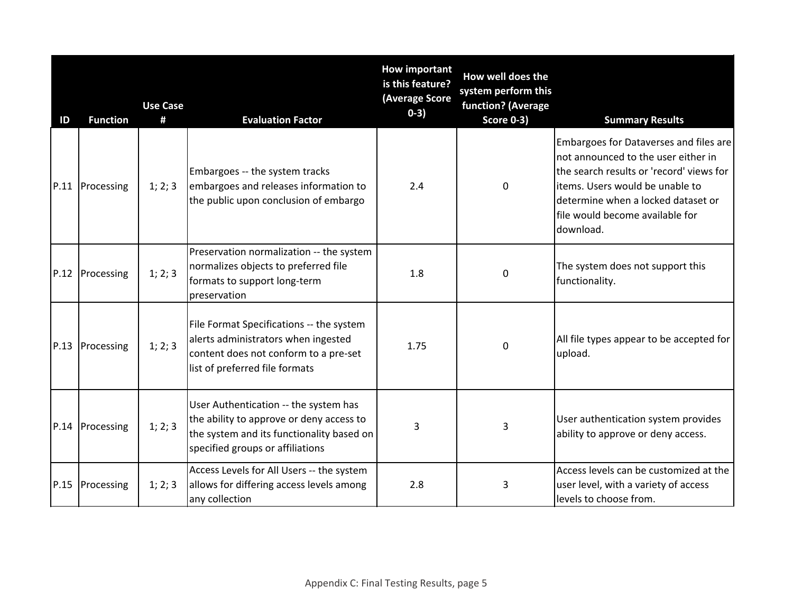| ID   | <b>Function</b> | <b>Use Case</b><br># | <b>Evaluation Factor</b>                                                                                                                                           | <b>How important</b><br>is this feature?<br>(Average Score<br>$0-3)$ | How well does the<br>system perform this<br>function? (Average<br><b>Score 0-3)</b> | <b>Summary Results</b>                                                                                                                                                                                                                              |
|------|-----------------|----------------------|--------------------------------------------------------------------------------------------------------------------------------------------------------------------|----------------------------------------------------------------------|-------------------------------------------------------------------------------------|-----------------------------------------------------------------------------------------------------------------------------------------------------------------------------------------------------------------------------------------------------|
|      | P.11 Processing | 1; 2; 3              | Embargoes -- the system tracks<br>embargoes and releases information to<br>the public upon conclusion of embargo                                                   | 2.4                                                                  | $\mathbf 0$                                                                         | Embargoes for Dataverses and files are<br>not announced to the user either in<br>the search results or 'record' views for<br>litems. Users would be unable to<br>determine when a locked dataset or<br>file would become available for<br>download. |
|      | P.12 Processing | 1; 2; 3              | Preservation normalization -- the system<br>normalizes objects to preferred file<br>formats to support long-term<br>preservation                                   | 1.8                                                                  | $\Omega$                                                                            | The system does not support this<br>functionality.                                                                                                                                                                                                  |
| P.13 | Processing      | 1; 2; 3              | File Format Specifications -- the system<br>alerts administrators when ingested<br>content does not conform to a pre-set<br>list of preferred file formats         | 1.75                                                                 | $\Omega$                                                                            | All file types appear to be accepted for<br>upload.                                                                                                                                                                                                 |
|      | P.14 Processing | 1; 2; 3              | User Authentication -- the system has<br>the ability to approve or deny access to<br>the system and its functionality based on<br>specified groups or affiliations | 3                                                                    | 3                                                                                   | User authentication system provides<br>ability to approve or deny access.                                                                                                                                                                           |
|      | P.15 Processing | 1; 2; 3              | Access Levels for All Users -- the system<br>allows for differing access levels among<br>any collection                                                            | 2.8                                                                  | 3                                                                                   | Access levels can be customized at the<br>user level, with a variety of access<br>levels to choose from.                                                                                                                                            |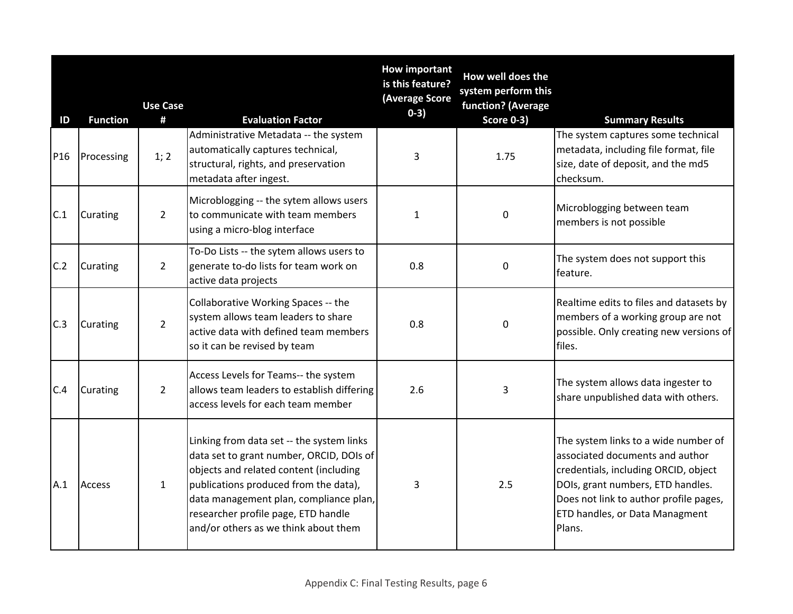| ID              | <b>Function</b> | <b>Use Case</b><br># | <b>Evaluation Factor</b>                                                                                                                                                                                                                                                                          | <b>How important</b><br>is this feature?<br>(Average Score<br>$0-3)$ | How well does the<br>system perform this<br>function? (Average<br><b>Score 0-3)</b> | <b>Summary Results</b>                                                                                                                                                                                                                     |
|-----------------|-----------------|----------------------|---------------------------------------------------------------------------------------------------------------------------------------------------------------------------------------------------------------------------------------------------------------------------------------------------|----------------------------------------------------------------------|-------------------------------------------------------------------------------------|--------------------------------------------------------------------------------------------------------------------------------------------------------------------------------------------------------------------------------------------|
| P <sub>16</sub> | Processing      | 1; 2                 | Administrative Metadata -- the system<br>automatically captures technical,<br>structural, rights, and preservation<br>metadata after ingest.                                                                                                                                                      | 3                                                                    | 1.75                                                                                | The system captures some technical<br>metadata, including file format, file<br>size, date of deposit, and the md5<br>checksum.                                                                                                             |
| C.1             | Curating        | $\overline{2}$       | Microblogging -- the sytem allows users<br>to communicate with team members<br>using a micro-blog interface                                                                                                                                                                                       | 1                                                                    | 0                                                                                   | Microblogging between team<br>members is not possible                                                                                                                                                                                      |
| C.2             | Curating        | $\overline{2}$       | To-Do Lists -- the sytem allows users to<br>generate to-do lists for team work on<br>active data projects                                                                                                                                                                                         | 0.8                                                                  | $\mathbf 0$                                                                         | The system does not support this<br>feature.                                                                                                                                                                                               |
| C.3             | Curating        | $\overline{2}$       | Collaborative Working Spaces -- the<br>system allows team leaders to share<br>active data with defined team members<br>so it can be revised by team                                                                                                                                               | 0.8                                                                  | 0                                                                                   | Realtime edits to files and datasets by<br>members of a working group are not<br>possible. Only creating new versions of<br>files.                                                                                                         |
| C.4             | Curating        | $\overline{2}$       | Access Levels for Teams-- the system<br>allows team leaders to establish differing<br>access levels for each team member                                                                                                                                                                          | 2.6                                                                  | 3                                                                                   | The system allows data ingester to<br>share unpublished data with others.                                                                                                                                                                  |
| A.1             | <b>Access</b>   | $\mathbf{1}$         | Linking from data set -- the system links<br>data set to grant number, ORCID, DOIs of<br>objects and related content (including<br>publications produced from the data),<br>data management plan, compliance plan,<br>researcher profile page, ETD handle<br>and/or others as we think about them | 3                                                                    | 2.5                                                                                 | The system links to a wide number of<br>associated documents and author<br>credentials, including ORCID, object<br>DOIs, grant numbers, ETD handles.<br>Does not link to author profile pages,<br>ETD handles, or Data Managment<br>Plans. |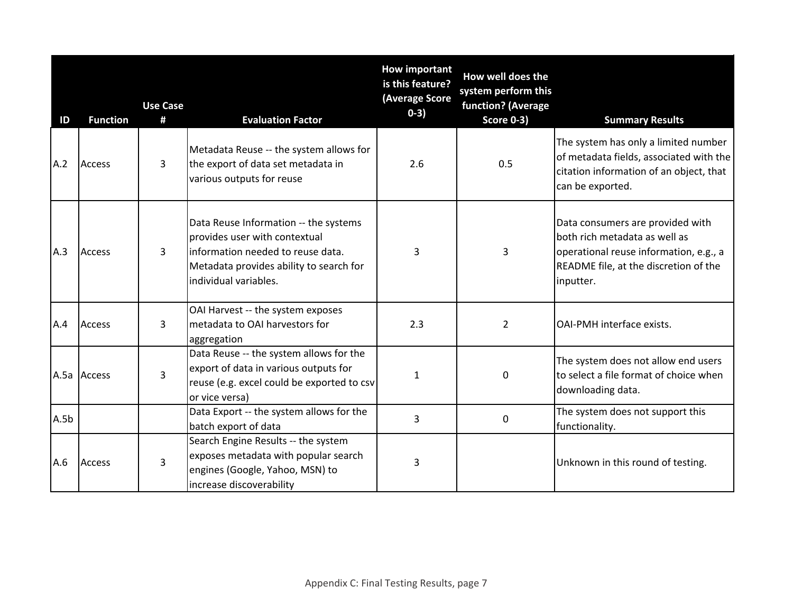| ID   | <b>Function</b> | <b>Use Case</b><br>#                                                                                                                                  | <b>Evaluation Factor</b>                                                                                                                                                        | <b>How important</b><br>is this feature?<br>(Average Score<br>$0-3)$ | How well does the<br>system perform this<br>function? (Average<br><b>Score 0-3)</b> | <b>Summary Results</b>                                                                                                                                            |
|------|-----------------|-------------------------------------------------------------------------------------------------------------------------------------------------------|---------------------------------------------------------------------------------------------------------------------------------------------------------------------------------|----------------------------------------------------------------------|-------------------------------------------------------------------------------------|-------------------------------------------------------------------------------------------------------------------------------------------------------------------|
| A.2  | <b>Access</b>   | 3                                                                                                                                                     | Metadata Reuse -- the system allows for<br>the export of data set metadata in<br>various outputs for reuse                                                                      | 2.6                                                                  | 0.5                                                                                 | The system has only a limited number<br>of metadata fields, associated with the<br>citation information of an object, that<br>can be exported.                    |
| A.3  | <b>Access</b>   | 3                                                                                                                                                     | Data Reuse Information -- the systems<br>provides user with contextual<br>information needed to reuse data.<br>Metadata provides ability to search for<br>individual variables. | 3                                                                    | $\overline{3}$                                                                      | Data consumers are provided with<br>both rich metadata as well as<br>operational reuse information, e.g., a<br>README file, at the discretion of the<br>inputter. |
| A.4  | Access          | 3                                                                                                                                                     | OAI Harvest -- the system exposes<br>metadata to OAI harvestors for<br>aggregation                                                                                              | 2.3                                                                  | $\overline{2}$                                                                      | <b>OAI-PMH</b> interface exists.                                                                                                                                  |
|      | A.5a Access     | Data Reuse -- the system allows for the<br>export of data in various outputs for<br>3<br>reuse (e.g. excel could be exported to csv<br>or vice versa) |                                                                                                                                                                                 | 1                                                                    | $\mathbf 0$                                                                         | The system does not allow end users<br>to select a file format of choice when<br>downloading data.                                                                |
| A.5b |                 |                                                                                                                                                       | Data Export -- the system allows for the<br>batch export of data                                                                                                                | 3                                                                    | $\Omega$                                                                            | The system does not support this<br>functionality.                                                                                                                |
| A.6  | <b>Access</b>   | 3                                                                                                                                                     | Search Engine Results -- the system<br>exposes metadata with popular search<br>engines (Google, Yahoo, MSN) to<br>increase discoverability                                      | 3                                                                    |                                                                                     | Unknown in this round of testing.                                                                                                                                 |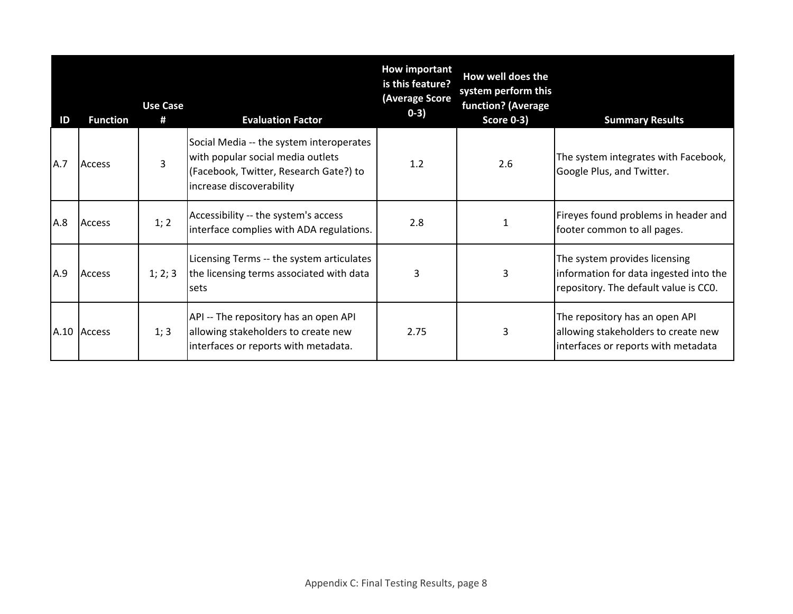| ID  | <b>Function</b> | <b>Use Case</b><br># | <b>Evaluation Factor</b>                                                                                                                            | <b>How important</b><br>is this feature?<br>(Average Score<br>$0-3)$ | How well does the<br>system perform this<br>function? (Average<br><b>Score 0-3)</b> | <b>Summary Results</b>                                                                                           |
|-----|-----------------|----------------------|-----------------------------------------------------------------------------------------------------------------------------------------------------|----------------------------------------------------------------------|-------------------------------------------------------------------------------------|------------------------------------------------------------------------------------------------------------------|
| A.7 | Access          | 3                    | Social Media -- the system interoperates<br>with popular social media outlets<br>(Facebook, Twitter, Research Gate?) to<br>increase discoverability | 1.2                                                                  | 2.6                                                                                 | The system integrates with Facebook,<br>Google Plus, and Twitter.                                                |
| A.8 | Access          | 1; 2                 | Accessibility -- the system's access<br>interface complies with ADA regulations.                                                                    | 2.8                                                                  |                                                                                     | Fireyes found problems in header and<br>footer common to all pages.                                              |
| A.9 | <b>Access</b>   | 1; 2; 3              | Licensing Terms -- the system articulates<br>the licensing terms associated with data<br>sets                                                       | 3                                                                    | 3                                                                                   | The system provides licensing<br>information for data ingested into the<br>repository. The default value is CCO. |
|     | A.10 Access     | 1; 3                 | API -- The repository has an open API<br>allowing stakeholders to create new<br>interfaces or reports with metadata.                                | 2.75                                                                 | 3                                                                                   | The repository has an open API<br>allowing stakeholders to create new<br>interfaces or reports with metadata     |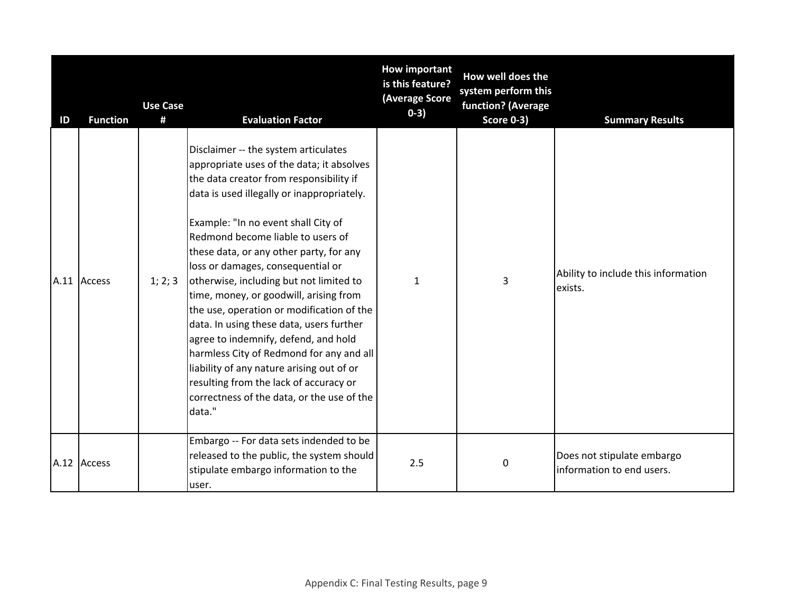| ID | <b>Function</b> | <b>Use Case</b><br># | <b>Evaluation Factor</b>                                                                                                                                                                                                                                                                                                                                                                                                                                                                                                                                                                                                                                                                                                                                | <b>How important</b><br>is this feature?<br>(Average Score<br>$0-3)$ | How well does the<br>system perform this<br>function? (Average<br><b>Score 0-3)</b> | <b>Summary Results</b>                                  |
|----|-----------------|----------------------|---------------------------------------------------------------------------------------------------------------------------------------------------------------------------------------------------------------------------------------------------------------------------------------------------------------------------------------------------------------------------------------------------------------------------------------------------------------------------------------------------------------------------------------------------------------------------------------------------------------------------------------------------------------------------------------------------------------------------------------------------------|----------------------------------------------------------------------|-------------------------------------------------------------------------------------|---------------------------------------------------------|
|    | A.11 Access     | 1; 2; 3              | Disclaimer -- the system articulates<br>appropriate uses of the data; it absolves<br>the data creator from responsibility if<br>data is used illegally or inappropriately.<br>Example: "In no event shall City of<br>Redmond become liable to users of<br>these data, or any other party, for any<br>loss or damages, consequential or<br>otherwise, including but not limited to<br>time, money, or goodwill, arising from<br>the use, operation or modification of the<br>data. In using these data, users further<br>agree to indemnify, defend, and hold<br>harmless City of Redmond for any and all<br>liability of any nature arising out of or<br>resulting from the lack of accuracy or<br>correctness of the data, or the use of the<br>data." | 1                                                                    | 3                                                                                   | Ability to include this information<br>exists.          |
|    | A.12 Access     |                      | Embargo -- For data sets indended to be<br>released to the public, the system should<br>stipulate embargo information to the<br>user.                                                                                                                                                                                                                                                                                                                                                                                                                                                                                                                                                                                                                   | 2.5                                                                  | 0                                                                                   | Does not stipulate embargo<br>information to end users. |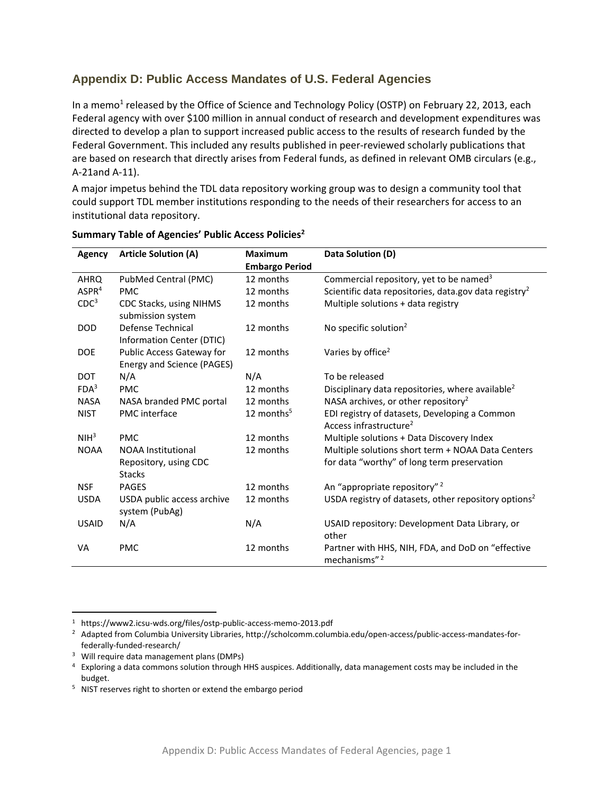# **Appendix D: Public Access Mandates of U.S. Federal Agencies**

In a memo<sup>1</sup> released by the Office of Science and Technology Policy (OSTP) on February 22, 2013, each Federal agency with over \$100 million in annual conduct of research and development expenditures was directed to develop a plan to support increased public access to the results of research funded by the Federal Government. This included any results published in peer-reviewed scholarly publications that are based on research that directly arises from Federal funds, as defined in relevant OMB circulars (e.g., A‐21and A‐11).

A major impetus behind the TDL data repository working group was to design a community tool that could support TDL member institutions responding to the needs of their researchers for access to an institutional data repository.

| Agency            | <b>Article Solution (A)</b>                                         | <b>Maximum</b>         | Data Solution (D)                                                                                |
|-------------------|---------------------------------------------------------------------|------------------------|--------------------------------------------------------------------------------------------------|
|                   |                                                                     | <b>Embargo Period</b>  |                                                                                                  |
| <b>AHRQ</b>       | PubMed Central (PMC)                                                | 12 months              | Commercial repository, yet to be named <sup>3</sup>                                              |
| ASPR <sup>4</sup> | <b>PMC</b>                                                          | 12 months              | Scientific data repositories, data.gov data registry <sup>2</sup>                                |
| CDC <sup>3</sup>  | CDC Stacks, using NIHMS<br>submission system                        | 12 months              | Multiple solutions + data registry                                                               |
| <b>DOD</b>        | Defense Technical<br>Information Center (DTIC)                      | 12 months              | No specific solution <sup>2</sup>                                                                |
| <b>DOE</b>        | Public Access Gateway for<br>Energy and Science (PAGES)             | 12 months              | Varies by office <sup>2</sup>                                                                    |
| <b>DOT</b>        | N/A                                                                 | N/A                    | To be released                                                                                   |
| FDA <sup>3</sup>  | <b>PMC</b>                                                          | 12 months              | Disciplinary data repositories, where available <sup>2</sup>                                     |
| <b>NASA</b>       | NASA branded PMC portal                                             | 12 months              | NASA archives, or other repository <sup>2</sup>                                                  |
| <b>NIST</b>       | <b>PMC</b> interface                                                | 12 months <sup>5</sup> | EDI registry of datasets, Developing a Common<br>Access infrastructure <sup>2</sup>              |
| NIH <sup>3</sup>  | <b>PMC</b>                                                          | 12 months              | Multiple solutions + Data Discovery Index                                                        |
| <b>NOAA</b>       | <b>NOAA</b> Institutional<br>Repository, using CDC<br><b>Stacks</b> | 12 months              | Multiple solutions short term + NOAA Data Centers<br>for data "worthy" of long term preservation |
| <b>NSF</b>        | <b>PAGES</b>                                                        | 12 months              | An "appropriate repository" <sup>2</sup>                                                         |
| <b>USDA</b>       | USDA public access archive<br>system (PubAg)                        | 12 months              | USDA registry of datasets, other repository options <sup>2</sup>                                 |
| <b>USAID</b>      | N/A                                                                 | N/A                    | USAID repository: Development Data Library, or<br>other                                          |
| VA                | <b>PMC</b>                                                          | 12 months              | Partner with HHS, NIH, FDA, and DoD on "effective<br>mechanisms" <sup>2</sup>                    |

#### **Summary Table of Agencies' Public Access Policies2**

 $\overline{a}$ 

<sup>&</sup>lt;sup>1</sup> https://www2.icsu-wds.org/files/ostp-public-access-memo-2013.pdf

<sup>&</sup>lt;sup>2</sup> Adapted from Columbia University Libraries, http://scholcomm.columbia.edu/open-access/public-access-mandates-forfederally‐funded‐research/

<sup>&</sup>lt;sup>3</sup> Will require data management plans (DMPs)

<sup>&</sup>lt;sup>4</sup> Exploring a data commons solution through HHS auspices. Additionally, data management costs may be included in the budget.

<sup>&</sup>lt;sup>5</sup> NIST reserves right to shorten or extend the embargo period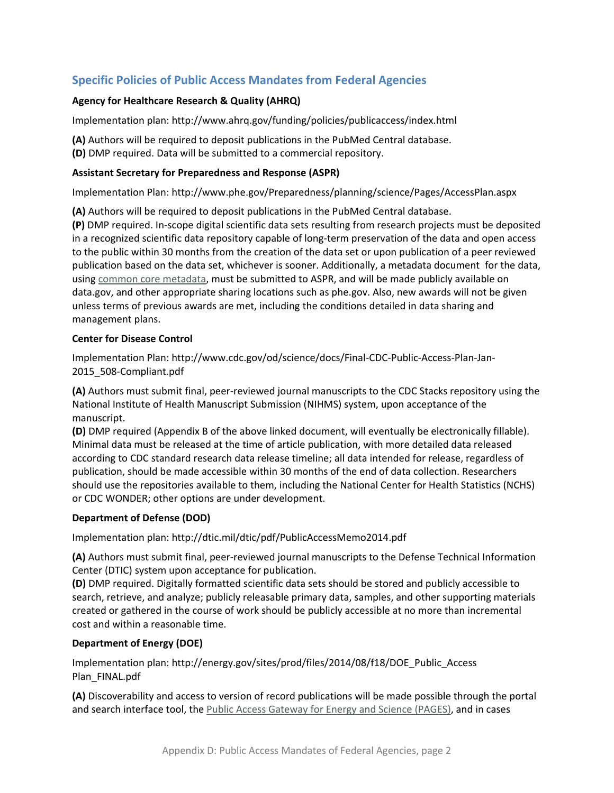# **Specific Policies of Public Access Mandates from Federal Agencies**

### **Agency for Healthcare Research & Quality (AHRQ)**

Implementation plan: http://www.ahrq.gov/funding/policies/publicaccess/index.html

**(A)** Authors will be required to deposit publications in the PubMed Central database.

**(D)** DMP required. Data will be submitted to a commercial repository.

#### **Assistant Secretary for Preparedness and Response (ASPR)**

Implementation Plan: http://www.phe.gov/Preparedness/planning/science/Pages/AccessPlan.aspx

**(A)** Authors will be required to deposit publications in the PubMed Central database.

**(P)** DMP required. In‐scope digital scientific data sets resulting from research projects must be deposited in a recognized scientific data repository capable of long‐term preservation of the data and open access to the public within 30 months from the creation of the data set or upon publication of a peer reviewed publication based on the data set, whichever is sooner. Additionally, a metadata document for the data, using common core metadata, must be submitted to ASPR, and will be made publicly available on data.gov, and other appropriate sharing locations such as phe.gov. Also, new awards will not be given unless terms of previous awards are met, including the conditions detailed in data sharing and management plans.

#### **Center for Disease Control**

Implementation Plan: http://www.cdc.gov/od/science/docs/Final‐CDC‐Public‐Access‐Plan‐Jan‐ 2015\_508‐Compliant.pdf

**(A)** Authors must submit final, peer‐reviewed journal manuscripts to the CDC Stacks repository using the National Institute of Health Manuscript Submission (NIHMS) system, upon acceptance of the manuscript.

**(D)** DMP required (Appendix B of the above linked document, will eventually be electronically fillable). Minimal data must be released at the time of article publication, with more detailed data released according to CDC standard research data release timeline; all data intended for release, regardless of publication, should be made accessible within 30 months of the end of data collection. Researchers should use the repositories available to them, including the National Center for Health Statistics (NCHS) or CDC WONDER; other options are under development.

# **Department of Defense (DOD)**

Implementation plan: http://dtic.mil/dtic/pdf/PublicAccessMemo2014.pdf

**(A)** Authors must submit final, peer‐reviewed journal manuscripts to the Defense Technical Information Center (DTIC) system upon acceptance for publication.

**(D)** DMP required. Digitally formatted scientific data sets should be stored and publicly accessible to search, retrieve, and analyze; publicly releasable primary data, samples, and other supporting materials created or gathered in the course of work should be publicly accessible at no more than incremental cost and within a reasonable time.

# **Department of Energy (DOE)**

Implementation plan: http://energy.gov/sites/prod/files/2014/08/f18/DOE\_Public\_Access Plan\_FINAL.pdf

**(A)** Discoverability and access to version of record publications will be made possible through the portal and search interface tool, the Public Access Gateway for Energy and Science (PAGES), and in cases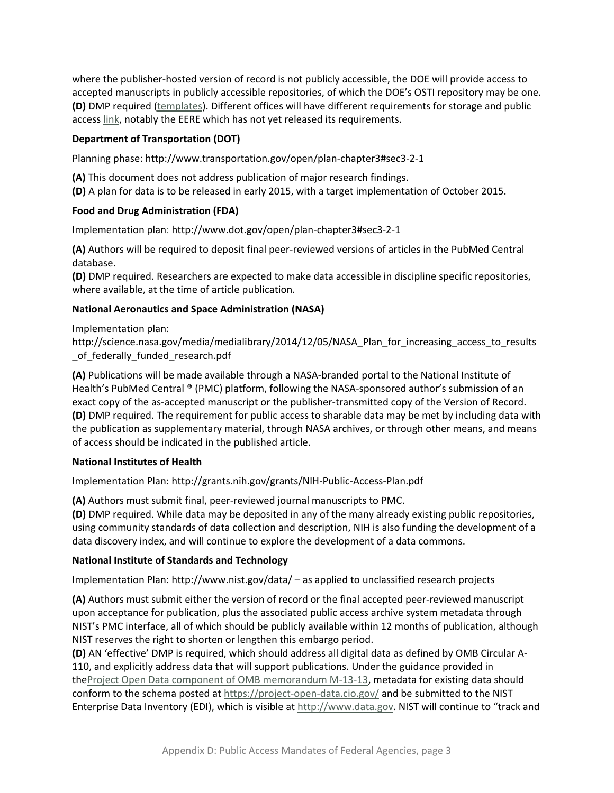where the publisher-hosted version of record is not publicly accessible, the DOE will provide access to accepted manuscripts in publicly accessible repositories, of which the DOE's OSTI repository may be one. **(D)** DMP required (templates). Different offices will have different requirements for storage and public access link, notably the EERE which has not yet released its requirements.

### **Department of Transportation (DOT)**

Planning phase: http://www.transportation.gov/open/plan‐chapter3#sec3‐2‐1

**(A)** This document does not address publication of major research findings.

**(D)** A plan for data is to be released in early 2015, with a target implementation of October 2015.

#### **Food and Drug Administration (FDA)**

Implementation plan: http://www.dot.gov/open/plan‐chapter3#sec3‐2‐1

**(A)** Authors will be required to deposit final peer‐reviewed versions of articles in the PubMed Central database.

**(D)** DMP required. Researchers are expected to make data accessible in discipline specific repositories, where available, at the time of article publication.

#### **National Aeronautics and Space Administration (NASA)**

Implementation plan:

http://science.nasa.gov/media/medialibrary/2014/12/05/NASA\_Plan\_for\_increasing\_access\_to\_results of federally funded research.pdf

**(A)** Publications will be made available through a NASA‐branded portal to the National Institute of Health's PubMed Central ® (PMC) platform, following the NASA‐sponsored author's submission of an exact copy of the as-accepted manuscript or the publisher-transmitted copy of the Version of Record. **(D)** DMP required. The requirement for public access to sharable data may be met by including data with the publication as supplementary material, through NASA archives, or through other means, and means of access should be indicated in the published article.

# **National Institutes of Health**

Implementation Plan: http://grants.nih.gov/grants/NIH‐Public‐Access‐Plan.pdf

**(A)** Authors must submit final, peer‐reviewed journal manuscripts to PMC.

**(D)** DMP required. While data may be deposited in any of the many already existing public repositories, using community standards of data collection and description, NIH is also funding the development of a data discovery index, and will continue to explore the development of a data commons.

# **National Institute of Standards and Technology**

Implementation Plan: http://www.nist.gov/data/ – as applied to unclassified research projects

**(A)** Authors must submit either the version of record or the final accepted peer‐reviewed manuscript upon acceptance for publication, plus the associated public access archive system metadata through NIST's PMC interface, all of which should be publicly available within 12 months of publication, although NIST reserves the right to shorten or lengthen this embargo period.

**(D)** AN 'effective' DMP is required, which should address all digital data as defined by OMB Circular A‐ 110, and explicitly address data that will support publications. Under the guidance provided in theProject Open Data component of OMB memorandum M‐13‐13, metadata for existing data should conform to the schema posted at https://project-open-data.cio.gov/ and be submitted to the NIST Enterprise Data Inventory (EDI), which is visible at http://www.data.gov. NIST will continue to "track and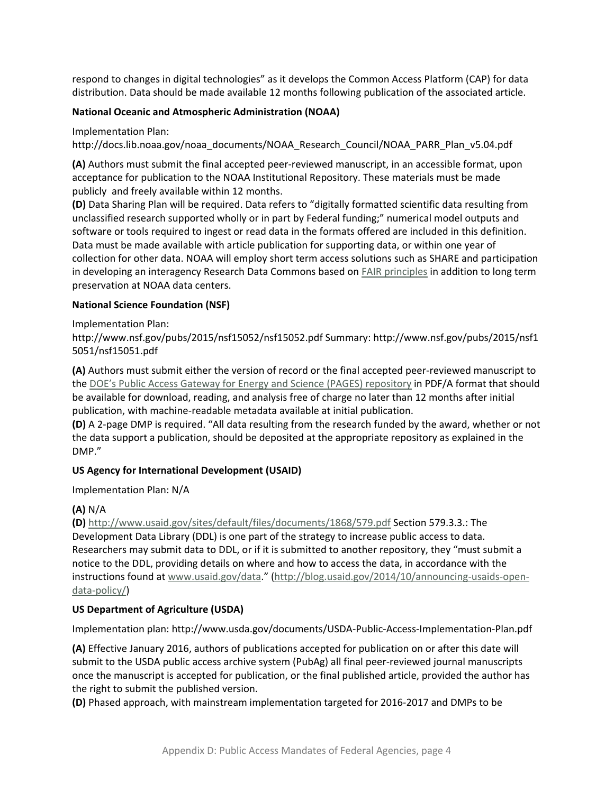respond to changes in digital technologies" as it develops the Common Access Platform (CAP) for data distribution. Data should be made available 12 months following publication of the associated article.

### **National Oceanic and Atmospheric Administration (NOAA)**

Implementation Plan:

http://docs.lib.noaa.gov/noaa\_documents/NOAA\_Research\_Council/NOAA\_PARR\_Plan\_v5.04.pdf

**(A)** Authors must submit the final accepted peer‐reviewed manuscript, in an accessible format, upon acceptance for publication to the NOAA Institutional Repository. These materials must be made publicly and freely available within 12 months.

**(D)** Data Sharing Plan will be required. Data refers to "digitally formatted scientific data resulting from unclassified research supported wholly or in part by Federal funding;" numerical model outputs and software or tools required to ingest or read data in the formats offered are included in this definition. Data must be made available with article publication for supporting data, or within one year of collection for other data. NOAA will employ short term access solutions such as SHARE and participation in developing an interagency Research Data Commons based on FAIR principles in addition to long term preservation at NOAA data centers.

#### **National Science Foundation (NSF)**

Implementation Plan:

http://www.nsf.gov/pubs/2015/nsf15052/nsf15052.pdf Summary: http://www.nsf.gov/pubs/2015/nsf1 5051/nsf15051.pdf

**(A)** Authors must submit either the version of record or the final accepted peer‐reviewed manuscript to the DOE's Public Access Gateway for Energy and Science (PAGES) repository in PDF/A format that should be available for download, reading, and analysis free of charge no later than 12 months after initial publication, with machine‐readable metadata available at initial publication.

**(D)** A 2‐page DMP is required. "All data resulting from the research funded by the award, whether or not the data support a publication, should be deposited at the appropriate repository as explained in the DMP."

# **US Agency for International Development (USAID)**

Implementation Plan: N/A

# **(A)** N/A

**(D)** http://www.usaid.gov/sites/default/files/documents/1868/579.pdf Section 579.3.3.: The Development Data Library (DDL) is one part of the strategy to increase public access to data. Researchers may submit data to DDL, or if it is submitted to another repository, they "must submit a notice to the DDL, providing details on where and how to access the data, in accordance with the instructions found at www.usaid.gov/data." (http://blog.usaid.gov/2014/10/announcing-usaids-opendata‐policy/)

# **US Department of Agriculture (USDA)**

Implementation plan: http://www.usda.gov/documents/USDA‐Public‐Access‐Implementation‐Plan.pdf

**(A)** Effective January 2016, authors of publications accepted for publication on or after this date will submit to the USDA public access archive system (PubAg) all final peer‐reviewed journal manuscripts once the manuscript is accepted for publication, or the final published article, provided the author has the right to submit the published version.

**(D)** Phased approach, with mainstream implementation targeted for 2016‐2017 and DMPs to be